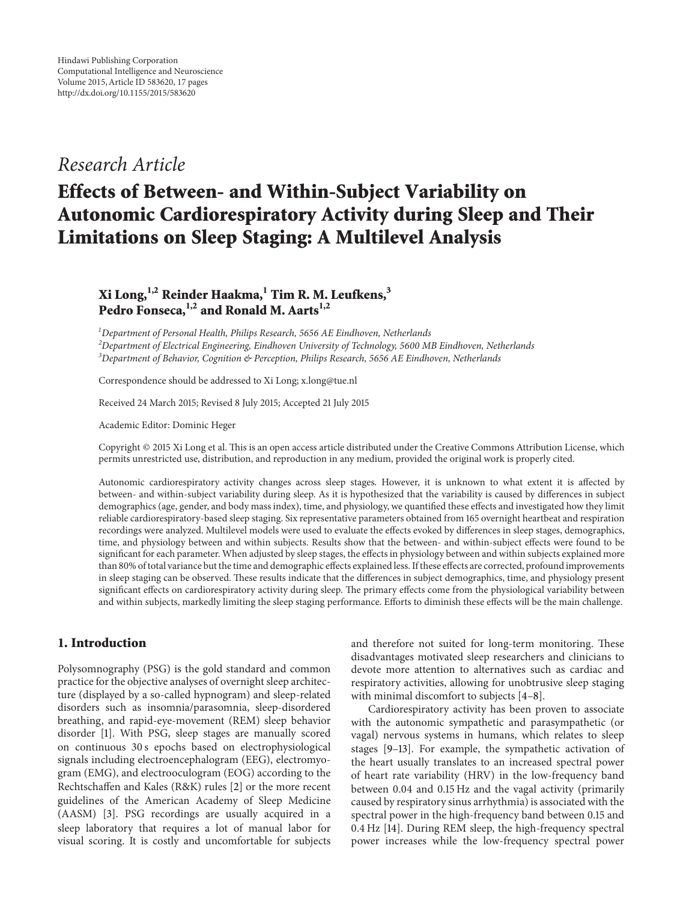## *Research Article*

# **Effects of Between- and Within-Subject Variability on Autonomic Cardiorespiratory Activity during Sleep and Their Limitations on Sleep Staging: A Multilevel Analysis**

### **Xi Long,1,2 Reinder Haakma,<sup>1</sup> Tim R. M. Leufkens,<sup>3</sup> Pedro Fonseca,1,2 and Ronald M. Aarts1,2**

*1 Department of Personal Health, Philips Research, 5656 AE Eindhoven, Netherlands 2 Department of Electrical Engineering, Eindhoven University of Technology, 5600 MB Eindhoven, Netherlands 3 Department of Behavior, Cognition & Perception, Philips Research, 5656 AE Eindhoven, Netherlands*

Correspondence should be addressed to Xi Long; x.long@tue.nl

Received 24 March 2015; Revised 8 July 2015; Accepted 21 July 2015

Academic Editor: Dominic Heger

Copyright © 2015 Xi Long et al. This is an open access article distributed under the Creative Commons Attribution License, which permits unrestricted use, distribution, and reproduction in any medium, provided the original work is properly cited.

Autonomic cardiorespiratory activity changes across sleep stages. However, it is unknown to what extent it is affected by between- and within-subject variability during sleep. As it is hypothesized that the variability is caused by differences in subject demographics (age, gender, and body mass index), time, and physiology, we quantified these effects and investigated how they limit reliable cardiorespiratory-based sleep staging. Six representative parameters obtained from 165 overnight heartbeat and respiration recordings were analyzed. Multilevel models were used to evaluate the effects evoked by differences in sleep stages, demographics, time, and physiology between and within subjects. Results show that the between- and within-subject effects were found to be significant for each parameter. When adjusted by sleep stages, the effects in physiology between and within subjects explained more than 80% of total variance but the time and demographic effects explained less. If these effects are corrected, profound improvements in sleep staging can be observed. These results indicate that the differences in subject demographics, time, and physiology present significant effects on cardiorespiratory activity during sleep. The primary effects come from the physiological variability between and within subjects, markedly limiting the sleep staging performance. Efforts to diminish these effects will be the main challenge.

#### **1. Introduction**

Polysomnography (PSG) is the gold standard and common practice for the objective analyses of overnight sleep architecture (displayed by a so-called hypnogram) and sleep-related disorders such as insomnia/parasomnia, sleep-disordered breathing, and rapid-eye-movement (REM) sleep behavior disorder [1]. With PSG, sleep stages are manually scored on continuous 30 s epochs based on electrophysiological signals including electroencephalogram (EEG), electromyogram (EMG), and electrooculogram (EOG) according to the Rechtschaffen and Kales (R&K) rules [2] or the more recent guidelines of the American Academy of Sleep Medicine (AASM) [3]. PSG recordings are usually acquired in a sleep laboratory that requires a lot of manual labor for visual scoring. It is costly and uncomfortable for subjects and therefore not suited for long-term monitoring. These disadvantages motivated sleep researchers and clinicians to devote more attention to alternatives such as cardiac and respiratory activities, allowing for unobtrusive sleep staging with minimal discomfort to subjects [4–8].

Cardiorespiratory activity has been proven to associate with the autonomic sympathetic and parasympathetic (or vagal) nervous systems in humans, which relates to sleep stages [9–13]. For example, the sympathetic activation of the heart usually translates to an increased spectral power of heart rate variability (HRV) in the low-frequency band between 0.04 and 0.15 Hz and the vagal activity (primarily caused by respiratory sinus arrhythmia) is associated with the spectral power in the high-frequency band between 0.15 and 0.4 Hz [14]. During REM sleep, the high-frequency spectral power increases while the low-frequency spectral power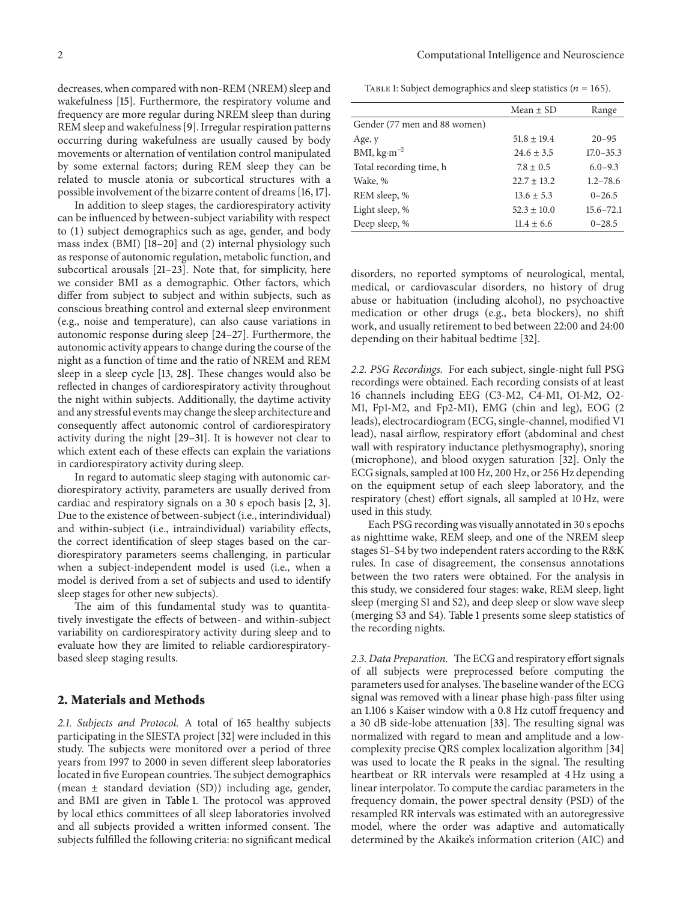decreases, when compared with non-REM (NREM) sleep and wakefulness [15]. Furthermore, the respiratory volume and frequency are more regular during NREM sleep than during REM sleep and wakefulness [9]. Irregular respiration patterns occurring during wakefulness are usually caused by body movements or alternation of ventilation control manipulated by some external factors; during REM sleep they can be related to muscle atonia or subcortical structures with a possible involvement of the bizarre content of dreams [16, 17].

In addition to sleep stages, the cardiorespiratory activity can be influenced by between-subject variability with respect to (1) subject demographics such as age, gender, and body mass index (BMI) [18–20] and (2) internal physiology such as response of autonomic regulation, metabolic function, and subcortical arousals [21–23]. Note that, for simplicity, here we consider BMI as a demographic. Other factors, which differ from subject to subject and within subjects, such as conscious breathing control and external sleep environment (e.g., noise and temperature), can also cause variations in autonomic response during sleep [24–27]. Furthermore, the autonomic activity appears to change during the course of the night as a function of time and the ratio of NREM and REM sleep in a sleep cycle [13, 28]. These changes would also be reflected in changes of cardiorespiratory activity throughout the night within subjects. Additionally, the daytime activity and any stressful events may change the sleep architecture and consequently affect autonomic control of cardiorespiratory activity during the night [29–31]. It is however not clear to which extent each of these effects can explain the variations in cardiorespiratory activity during sleep.

In regard to automatic sleep staging with autonomic cardiorespiratory activity, parameters are usually derived from cardiac and respiratory signals on a 30 s epoch basis [2, 3]. Due to the existence of between-subject (i.e., interindividual) and within-subject (i.e., intraindividual) variability effects, the correct identification of sleep stages based on the cardiorespiratory parameters seems challenging, in particular when a subject-independent model is used (i.e., when a model is derived from a set of subjects and used to identify sleep stages for other new subjects).

The aim of this fundamental study was to quantitatively investigate the effects of between- and within-subject variability on cardiorespiratory activity during sleep and to evaluate how they are limited to reliable cardiorespiratorybased sleep staging results.

#### **2. Materials and Methods**

*2.1. Subjects and Protocol.* A total of 165 healthy subjects participating in the SIESTA project [32] were included in this study. The subjects were monitored over a period of three years from 1997 to 2000 in seven different sleep laboratories located in five European countries.The subject demographics (mean ± standard deviation (SD)) including age, gender, and BMI are given in Table 1. The protocol was approved by local ethics committees of all sleep laboratories involved and all subjects provided a written informed consent. The subjects fulfilled the following criteria: no significant medical

TABLE 1: Subject demographics and sleep statistics ( $n = 165$ ).

|                                    | Mean $\pm$ SD   | Range         |
|------------------------------------|-----------------|---------------|
| Gender (77 men and 88 women)       |                 |               |
| Age, y                             | $51.8 \pm 19.4$ | $20 - 95$     |
| BMI, $\text{kg}\cdot\text{m}^{-2}$ | $24.6 + 3.5$    | $17.0 - 35.3$ |
| Total recording time, h            | $7.8 + 0.5$     | $6.0 - 9.3$   |
| Wake, %                            | $22.7 + 13.2$   | $1.2 - 78.6$  |
| REM sleep, %                       | $13.6 + 5.3$    | $0 - 26.5$    |
| Light sleep, %                     | $52.3 \pm 10.0$ | $15.6 - 72.1$ |
| Deep sleep, %                      | $11.4 \pm 6.6$  | $0 - 28.5$    |

disorders, no reported symptoms of neurological, mental, medical, or cardiovascular disorders, no history of drug abuse or habituation (including alcohol), no psychoactive medication or other drugs (e.g., beta blockers), no shift work, and usually retirement to bed between 22:00 and 24:00 depending on their habitual bedtime [32].

*2.2. PSG Recordings.* For each subject, single-night full PSG recordings were obtained. Each recording consists of at least 16 channels including EEG (C3-M2, C4-M1, O1-M2, O2- M1, Fp1-M2, and Fp2-M1), EMG (chin and leg), EOG (2 leads), electrocardiogram (ECG, single-channel, modified V1 lead), nasal airflow, respiratory effort (abdominal and chest wall with respiratory inductance plethysmography), snoring (microphone), and blood oxygen saturation [32]. Only the ECG signals, sampled at 100 Hz, 200 Hz, or 256 Hz depending on the equipment setup of each sleep laboratory, and the respiratory (chest) effort signals, all sampled at 10 Hz, were used in this study.

Each PSG recording was visually annotated in 30 s epochs as nighttime wake, REM sleep, and one of the NREM sleep stages S1–S4 by two independent raters according to the R&K rules. In case of disagreement, the consensus annotations between the two raters were obtained. For the analysis in this study, we considered four stages: wake, REM sleep, light sleep (merging S1 and S2), and deep sleep or slow wave sleep (merging S3 and S4). Table 1 presents some sleep statistics of the recording nights.

*2.3. Data Preparation.* The ECG and respiratory effort signals of all subjects were preprocessed before computing the parameters used for analyses.The baseline wander of the ECG signal was removed with a linear phase high-pass filter using an 1.106 s Kaiser window with a 0.8 Hz cutoff frequency and a 30 dB side-lobe attenuation [33]. The resulting signal was normalized with regard to mean and amplitude and a lowcomplexity precise QRS complex localization algorithm [34] was used to locate the R peaks in the signal. The resulting heartbeat or RR intervals were resampled at 4 Hz using a linear interpolator. To compute the cardiac parameters in the frequency domain, the power spectral density (PSD) of the resampled RR intervals was estimated with an autoregressive model, where the order was adaptive and automatically determined by the Akaike's information criterion (AIC) and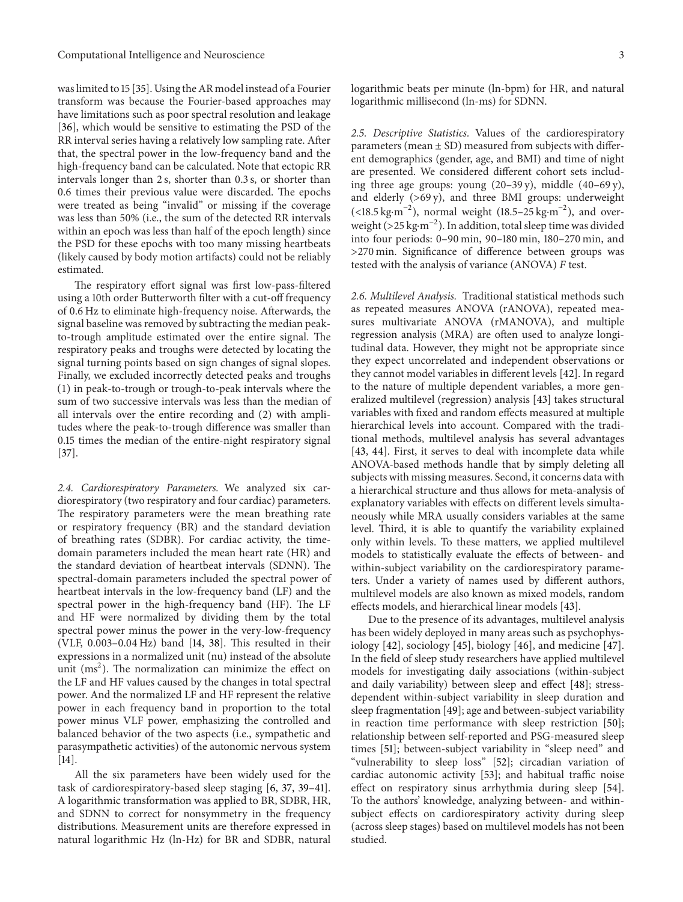was limited to 15 [35]. Using the AR model instead of a Fourier transform was because the Fourier-based approaches may have limitations such as poor spectral resolution and leakage [36], which would be sensitive to estimating the PSD of the RR interval series having a relatively low sampling rate. After that, the spectral power in the low-frequency band and the high-frequency band can be calculated. Note that ectopic RR intervals longer than 2 s, shorter than 0.3 s, or shorter than 0.6 times their previous value were discarded. The epochs were treated as being "invalid" or missing if the coverage was less than 50% (i.e., the sum of the detected RR intervals within an epoch was less than half of the epoch length) since the PSD for these epochs with too many missing heartbeats (likely caused by body motion artifacts) could not be reliably estimated.

The respiratory effort signal was first low-pass-filtered using a 10th order Butterworth filter with a cut-off frequency of 0.6 Hz to eliminate high-frequency noise. Afterwards, the signal baseline was removed by subtracting the median peakto-trough amplitude estimated over the entire signal. The respiratory peaks and troughs were detected by locating the signal turning points based on sign changes of signal slopes. Finally, we excluded incorrectly detected peaks and troughs (1) in peak-to-trough or trough-to-peak intervals where the sum of two successive intervals was less than the median of all intervals over the entire recording and (2) with amplitudes where the peak-to-trough difference was smaller than 0.15 times the median of the entire-night respiratory signal [37].

*2.4. Cardiorespiratory Parameters.* We analyzed six cardiorespiratory (two respiratory and four cardiac) parameters. The respiratory parameters were the mean breathing rate or respiratory frequency (BR) and the standard deviation of breathing rates (SDBR). For cardiac activity, the timedomain parameters included the mean heart rate (HR) and the standard deviation of heartbeat intervals (SDNN). The spectral-domain parameters included the spectral power of heartbeat intervals in the low-frequency band (LF) and the spectral power in the high-frequency band (HF). The LF and HF were normalized by dividing them by the total spectral power minus the power in the very-low-frequency (VLF, 0.003–0.04 Hz) band [14, 38]. This resulted in their expressions in a normalized unit (nu) instead of the absolute unit  $(ms^2)$ . The normalization can minimize the effect on the LF and HF values caused by the changes in total spectral power. And the normalized LF and HF represent the relative power in each frequency band in proportion to the total power minus VLF power, emphasizing the controlled and balanced behavior of the two aspects (i.e., sympathetic and parasympathetic activities) of the autonomic nervous system [14].

All the six parameters have been widely used for the task of cardiorespiratory-based sleep staging [6, 37, 39–41]. A logarithmic transformation was applied to BR, SDBR, HR, and SDNN to correct for nonsymmetry in the frequency distributions. Measurement units are therefore expressed in natural logarithmic Hz (ln-Hz) for BR and SDBR, natural

logarithmic beats per minute (ln-bpm) for HR, and natural logarithmic millisecond (ln-ms) for SDNN.

*2.5. Descriptive Statistics.* Values of the cardiorespiratory parameters (mean  $\pm$  SD) measured from subjects with different demographics (gender, age, and BMI) and time of night are presented. We considered different cohort sets including three age groups: young (20–39 y), middle (40–69 y), and elderly (>69 y), and three BMI groups: underweight  $(\langle 18.5 \text{ kg} \cdot \text{m}^{-2} \rangle$ , normal weight  $(18.5-25 \text{ kg} \cdot \text{m}^{-2})$ , and overweight (>25 kg⋅m<sup>-2</sup>). In addition, total sleep time was divided into four periods: 0–90 min, 90–180 min, 180–270 min, and >270 min. Significance of difference between groups was tested with the analysis of variance (ANOVA) *F* test.

*2.6. Multilevel Analysis.* Traditional statistical methods such as repeated measures ANOVA (rANOVA), repeated measures multivariate ANOVA (rMANOVA), and multiple regression analysis (MRA) are often used to analyze longitudinal data. However, they might not be appropriate since they expect uncorrelated and independent observations or they cannot model variables in different levels [42]. In regard to the nature of multiple dependent variables, a more generalized multilevel (regression) analysis [43] takes structural variables with fixed and random effects measured at multiple hierarchical levels into account. Compared with the traditional methods, multilevel analysis has several advantages [43, 44]. First, it serves to deal with incomplete data while ANOVA-based methods handle that by simply deleting all subjects with missing measures. Second, it concerns data with a hierarchical structure and thus allows for meta-analysis of explanatory variables with effects on different levels simultaneously while MRA usually considers variables at the same level. Third, it is able to quantify the variability explained only within levels. To these matters, we applied multilevel models to statistically evaluate the effects of between- and within-subject variability on the cardiorespiratory parameters. Under a variety of names used by different authors, multilevel models are also known as mixed models, random effects models, and hierarchical linear models [43].

Due to the presence of its advantages, multilevel analysis has been widely deployed in many areas such as psychophysiology [42], sociology [45], biology [46], and medicine [47]. In the field of sleep study researchers have applied multilevel models for investigating daily associations (within-subject and daily variability) between sleep and effect [48]; stressdependent within-subject variability in sleep duration and sleep fragmentation [49]; age and between-subject variability in reaction time performance with sleep restriction [50]; relationship between self-reported and PSG-measured sleep times [51]; between-subject variability in "sleep need" and "vulnerability to sleep loss" [52]; circadian variation of cardiac autonomic activity [53]; and habitual traffic noise effect on respiratory sinus arrhythmia during sleep [54]. To the authors' knowledge, analyzing between- and withinsubject effects on cardiorespiratory activity during sleep (across sleep stages) based on multilevel models has not been studied.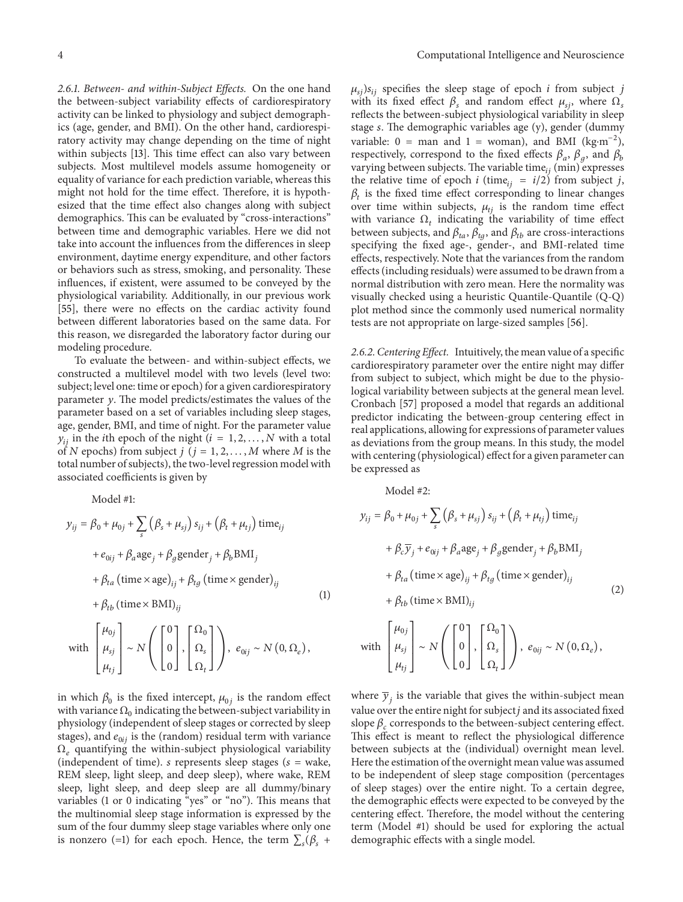*2.6.1. Between- and within-Subject Effects.* On the one hand the between-subject variability effects of cardiorespiratory activity can be linked to physiology and subject demographics (age, gender, and BMI). On the other hand, cardiorespiratory activity may change depending on the time of night within subjects [13]. This time effect can also vary between subjects. Most multilevel models assume homogeneity or equality of variance for each prediction variable, whereas this might not hold for the time effect. Therefore, it is hypothesized that the time effect also changes along with subject demographics. This can be evaluated by "cross-interactions" between time and demographic variables. Here we did not take into account the influences from the differences in sleep environment, daytime energy expenditure, and other factors or behaviors such as stress, smoking, and personality. These influences, if existent, were assumed to be conveyed by the physiological variability. Additionally, in our previous work [55], there were no effects on the cardiac activity found between different laboratories based on the same data. For this reason, we disregarded the laboratory factor during our modeling procedure.

To evaluate the between- and within-subject effects, we constructed a multilevel model with two levels (level two: subject; level one: time or epoch) for a given cardiorespiratory parameter  $y$ . The model predicts/estimates the values of the parameter based on a set of variables including sleep stages, age, gender, BMI, and time of night. For the parameter value  $y_{ii}$  in the *i*th epoch of the night ( $i = 1, 2, ..., N$  with a total of *N* epochs) from subject  $j$  ( $j = 1, 2, ..., M$  where *M* is the total number of subjects), the two-level regression model with associated coefficients is given by

Model #1:

$$
y_{ij} = \beta_0 + \mu_{0j} + \sum_s (\beta_s + \mu_{sj}) s_{ij} + (\beta_t + \mu_{tj}) \text{ time}_{ij}
$$
  
+  $e_{0ij} + \beta_a \text{age}_j + \beta_g \text{gender}_j + \beta_b \text{BMI}_j$   
+  $\beta_{ta} (\text{time} \times \text{age})_{ij} + \beta_{tg} (\text{time} \times \text{gender})_{ij}$   
+  $\beta_{tb} (\text{time} \times \text{BMI})_{ij}$   
with  $\begin{bmatrix} \mu_{0j} \\ \mu_{sj} \\ \mu_{tj} \end{bmatrix} \sim N \begin{pmatrix} 0 \\ 0 \\ 0 \end{pmatrix}, \begin{bmatrix} \Omega_0 \\ \Omega_s \\ \Omega_t \end{bmatrix}$ ,  $e_{0ij} \sim N (0, \Omega_e)$ ,

in which  $\beta_0$  is the fixed intercept,  $\mu_{0j}$  is the random effect with variance  $\Omega_0$  indicating the between-subject variability in physiology (independent of sleep stages or corrected by sleep stages), and  $e_{0ii}$  is the (random) residual term with variance  $\Omega$ <sub>e</sub> quantifying the within-subject physiological variability (independent of time). *s* represents sleep stages ( $s$  = wake, REM sleep, light sleep, and deep sleep), where wake, REM sleep, light sleep, and deep sleep are all dummy/binary variables (1 or 0 indicating "yes" or "no"). This means that the multinomial sleep stage information is expressed by the sum of the four dummy sleep stage variables where only one is nonzero (=1) for each epoch. Hence, the term  $\sum_{s}(\beta_s +$ 

 $\mu_{sj}$ ) $s_{ij}$  specifies the sleep stage of epoch *i* from subject *j* with its fixed effect  $\beta_s$  and random effect  $\mu_{si}$ , where  $\Omega_s$ reflects the between-subject physiological variability in sleep stage  $s$ . The demographic variables age  $(y)$ , gender (dummy variable: 0 = man and 1 = woman), and BMI ( $kg·m<sup>-2</sup>$ ), respectively, correspond to the fixed effects  $\beta_a$ ,  $\beta_a$ , and  $\beta_b$ varying between subjects. The variable time $_{ij}$  (min) expresses the relative time of epoch *i* (time<sub>ij</sub> =  $i/2$ ) from subject *j*,  $\beta_t$  is the fixed time effect corresponding to linear changes over time within subjects,  $\mu_{t_i}$  is the random time effect with variance  $\Omega_t$  indicating the variability of time effect between subjects, and  $\beta_{ta}$ ,  $\beta_{ta}$ , and  $\beta_{tb}$  are cross-interactions specifying the fixed age-, gender-, and BMI-related time effects, respectively. Note that the variances from the random effects (including residuals) were assumed to be drawn from a normal distribution with zero mean. Here the normality was visually checked using a heuristic Quantile-Quantile (Q-Q) plot method since the commonly used numerical normality tests are not appropriate on large-sized samples [56].

*2.6.2. Centering Effect.* Intuitively, the mean value of a specific cardiorespiratory parameter over the entire night may differ from subject to subject, which might be due to the physiological variability between subjects at the general mean level. Cronbach [57] proposed a model that regards an additional predictor indicating the between-group centering effect in real applications, allowing for expressions of parameter values as deviations from the group means. In this study, the model with centering (physiological) effect for a given parameter can be expressed as

Model #2:

$$
y_{ij} = \beta_0 + \mu_{0j} + \sum_s (\beta_s + \mu_{sj}) s_{ij} + (\beta_t + \mu_{tj}) \text{ time}_{ij}
$$
  
+  $\beta_c \overline{y}_j + e_{0ij} + \beta_a \text{age}_j + \beta_g \text{gender}_j + \beta_b \text{BMI}_j$   
+  $\beta_{ta} (\text{time} \times \text{age})_{ij} + \beta_{tg} (\text{time} \times \text{gender})_{ij}$   
+  $\beta_{tb} (\text{time} \times \text{BMI})_{ij}$  (2)  

$$
\left[ \mu_{0j} \right] / \left[ \begin{array}{c} 0 \\ \end{array} \right]
$$

with 
$$
\begin{bmatrix} \mu_{0j} \\ \mu_{sj} \\ \mu_{tj} \end{bmatrix} \sim N \left( \begin{bmatrix} 0 \\ 0 \\ 0 \end{bmatrix}, \begin{bmatrix} \Sigma_{0} \\ \Omega_{s} \\ \Omega_{t} \end{bmatrix} \right), e_{0ij} \sim N(0, \Omega_{e}),
$$

where  $\overline{y}_i$  is the variable that gives the within-subject mean value over the entire night for subject  $j$  and its associated fixed slope  $\beta_c$  corresponds to the between-subject centering effect. This effect is meant to reflect the physiological difference between subjects at the (individual) overnight mean level. Here the estimation of the overnight mean value was assumed to be independent of sleep stage composition (percentages of sleep stages) over the entire night. To a certain degree, the demographic effects were expected to be conveyed by the centering effect. Therefore, the model without the centering term (Model #1) should be used for exploring the actual demographic effects with a single model.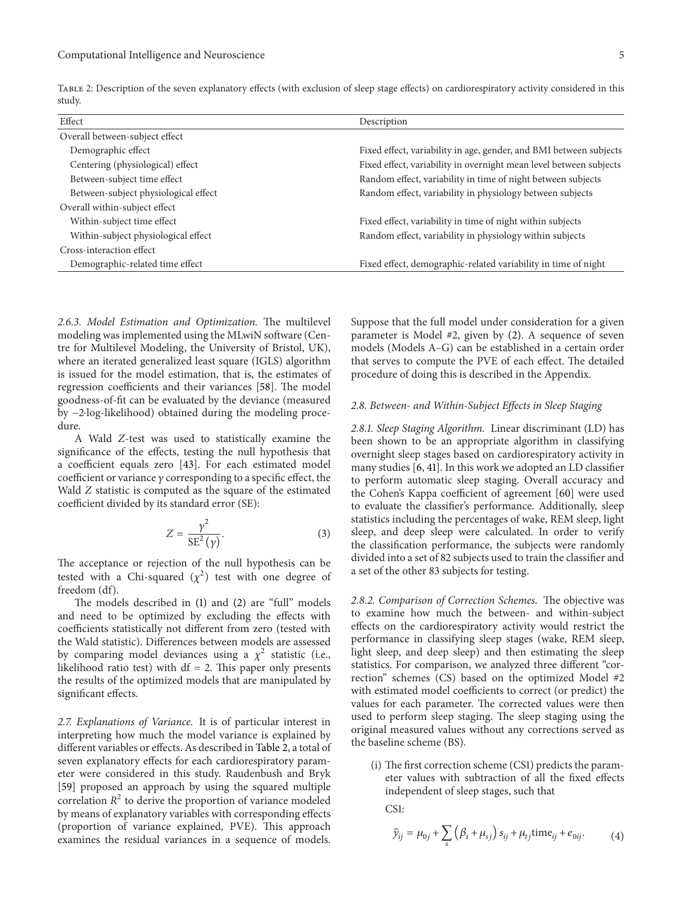|        |  |  |  | TABLE 2: Description of the seven explanatory effects (with exclusion of sleep stage effects) on cardiorespiratory activity considered in this |  |  |
|--------|--|--|--|------------------------------------------------------------------------------------------------------------------------------------------------|--|--|
| studv. |  |  |  |                                                                                                                                                |  |  |

| Effect                               | Description                                                        |
|--------------------------------------|--------------------------------------------------------------------|
| Overall between-subject effect       |                                                                    |
| Demographic effect                   | Fixed effect, variability in age, gender, and BMI between subjects |
| Centering (physiological) effect     | Fixed effect, variability in overnight mean level between subjects |
| Between-subject time effect          | Random effect, variability in time of night between subjects       |
| Between-subject physiological effect | Random effect, variability in physiology between subjects          |
| Overall within-subject effect        |                                                                    |
| Within-subject time effect           | Fixed effect, variability in time of night within subjects         |
| Within-subject physiological effect  | Random effect, variability in physiology within subjects           |
| Cross-interaction effect             |                                                                    |
| Demographic-related time effect      | Fixed effect, demographic-related variability in time of night     |

*2.6.3. Model Estimation and Optimization.* The multilevel modeling was implemented using the MLwiN software (Centre for Multilevel Modeling, the University of Bristol, UK), where an iterated generalized least square (IGLS) algorithm is issued for the model estimation, that is, the estimates of regression coefficients and their variances [58]. The model goodness-of-fit can be evaluated by the deviance (measured by −2⋅log-likelihood) obtained during the modeling procedure.

A Wald *Z*-test was used to statistically examine the significance of the effects, testing the null hypothesis that a coefficient equals zero [43]. For each estimated model coefficient or variance  $\nu$  corresponding to a specific effect, the Wald *Z* statistic is computed as the square of the estimated coefficient divided by its standard error (SE):

$$
Z = \frac{\gamma^2}{\text{SE}^2(\gamma)}.\tag{3}
$$

The acceptance or rejection of the null hypothesis can be tested with a Chi-squared  $(\chi^2)$  test with one degree of freedom (df).

The models described in (1) and (2) are "full" models and need to be optimized by excluding the effects with coefficients statistically not different from zero (tested with the Wald statistic). Differences between models are assessed by comparing model deviances using a  $\chi^2$  statistic (i.e., likelihood ratio test) with  $df = 2$ . This paper only presents the results of the optimized models that are manipulated by significant effects.

*2.7. Explanations of Variance.* It is of particular interest in interpreting how much the model variance is explained by different variables or effects. As described in Table 2, a total of seven explanatory effects for each cardiorespiratory parameter were considered in this study. Raudenbush and Bryk [59] proposed an approach by using the squared multiple correlation  $R^2$  to derive the proportion of variance modeled by means of explanatory variables with corresponding effects (proportion of variance explained, PVE). This approach examines the residual variances in a sequence of models.

Suppose that the full model under consideration for a given parameter is Model #2, given by (2). A sequence of seven models (Models A–G) can be established in a certain order that serves to compute the PVE of each effect. The detailed procedure of doing this is described in the Appendix.

#### *2.8. Between- and Within-Subject Effects in Sleep Staging*

*2.8.1. Sleep Staging Algorithm.* Linear discriminant (LD) has been shown to be an appropriate algorithm in classifying overnight sleep stages based on cardiorespiratory activity in many studies [6, 41]. In this work we adopted an LD classifier to perform automatic sleep staging. Overall accuracy and the Cohen's Kappa coefficient of agreement [60] were used to evaluate the classifier's performance. Additionally, sleep statistics including the percentages of wake, REM sleep, light sleep, and deep sleep were calculated. In order to verify the classification performance, the subjects were randomly divided into a set of 82 subjects used to train the classifier and a set of the other 83 subjects for testing.

*2.8.2. Comparison of Correction Schemes.* The objective was to examine how much the between- and within-subject effects on the cardiorespiratory activity would restrict the performance in classifying sleep stages (wake, REM sleep, light sleep, and deep sleep) and then estimating the sleep statistics. For comparison, we analyzed three different "correction" schemes (CS) based on the optimized Model #2 with estimated model coefficients to correct (or predict) the values for each parameter. The corrected values were then used to perform sleep staging. The sleep staging using the original measured values without any corrections served as the baseline scheme (BS).

(i) The first correction scheme (CS1) predicts the parameter values with subtraction of all the fixed effects independent of sleep stages, such that

CS1:

$$
\widehat{y}_{ij} = \mu_{0j} + \sum_{s} \left( \beta_s + \mu_{sj} \right) s_{ij} + \mu_{tj} \text{time}_{ij} + e_{0ij}.
$$
 (4)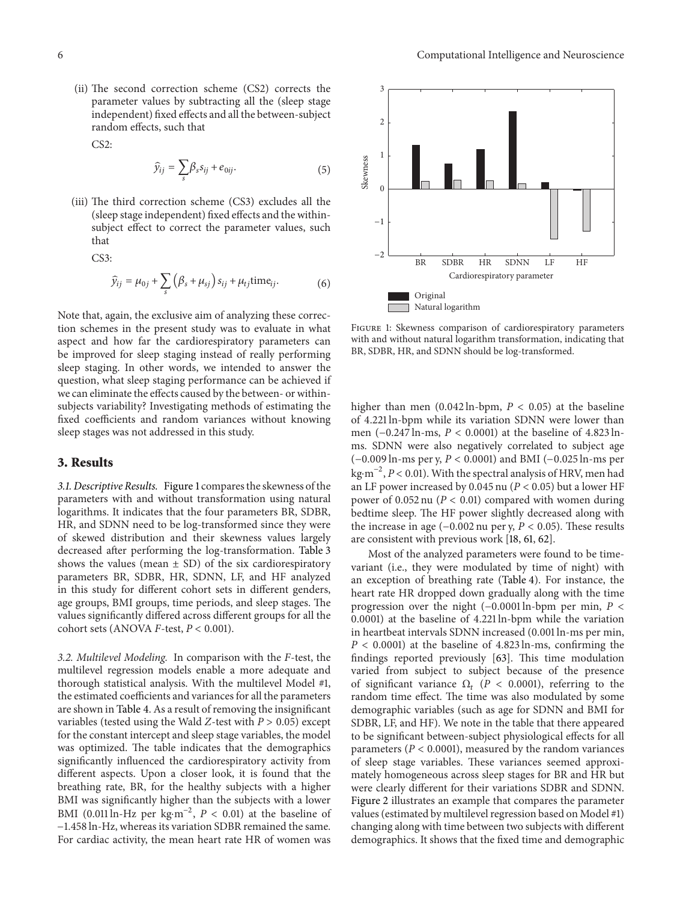(ii) The second correction scheme (CS2) corrects the parameter values by subtracting all the (sleep stage independent) fixed effects and all the between-subject random effects, such that

CS2:

$$
\widehat{y}_{ij} = \sum_{s} \beta_s s_{ij} + e_{0ij}.
$$
\n(5)

(iii) The third correction scheme (CS3) excludes all the (sleep stage independent) fixed effects and the withinsubject effect to correct the parameter values, such that

CS<sub>3</sub>:

$$
\hat{y}_{ij} = \mu_{0j} + \sum_{s} (\beta_s + \mu_{sj}) s_{ij} + \mu_{tj} \text{time}_{ij}.
$$
 (6)

Note that, again, the exclusive aim of analyzing these correction schemes in the present study was to evaluate in what aspect and how far the cardiorespiratory parameters can be improved for sleep staging instead of really performing sleep staging. In other words, we intended to answer the question, what sleep staging performance can be achieved if we can eliminate the effects caused by the between- or withinsubjects variability? Investigating methods of estimating the fixed coefficients and random variances without knowing sleep stages was not addressed in this study.

#### **3. Results**

*3.1. Descriptive Results.* Figure 1 compares the skewness of the parameters with and without transformation using natural logarithms. It indicates that the four parameters BR, SDBR, HR, and SDNN need to be log-transformed since they were of skewed distribution and their skewness values largely decreased after performing the log-transformation. Table 3 shows the values (mean  $\pm$  SD) of the six cardiorespiratory parameters BR, SDBR, HR, SDNN, LF, and HF analyzed in this study for different cohort sets in different genders, age groups, BMI groups, time periods, and sleep stages. The values significantly differed across different groups for all the cohort sets (ANOVA *F*-test, *P* < 0.001).

*3.2. Multilevel Modeling.* In comparison with the *F*-test, the multilevel regression models enable a more adequate and thorough statistical analysis. With the multilevel Model #1, the estimated coefficients and variances for all the parameters are shown in Table 4. As a result of removing the insignificant variables (tested using the Wald *Z*-test with *P* > 0.05) except for the constant intercept and sleep stage variables, the model was optimized. The table indicates that the demographics significantly influenced the cardiorespiratory activity from different aspects. Upon a closer look, it is found that the breathing rate, BR, for the healthy subjects with a higher BMI was significantly higher than the subjects with a lower BMI (0.011 ln-Hz per kg⋅m<sup>-2</sup>,  $P < 0.01$ ) at the baseline of −1.458 ln-Hz, whereas its variation SDBR remained the same. For cardiac activity, the mean heart rate HR of women was



Figure 1: Skewness comparison of cardiorespiratory parameters with and without natural logarithm transformation, indicating that BR, SDBR, HR, and SDNN should be log-transformed.

higher than men (0.042 ln-bpm, *P* < 0.05) at the baseline of 4.221 ln-bpm while its variation SDNN were lower than men (−0.247 ln-ms, *P* < 0.0001) at the baseline of 4.823 lnms. SDNN were also negatively correlated to subject age (−0.009 ln-ms per y, *P* < 0.0001) and BMI (−0.025 ln-ms per kg⋅m−2, *P* < 0.01). With the spectral analysis of HRV, men had an LF power increased by 0.045 nu (*P* < 0.05) but a lower HF power of 0.052 nu (*P* < 0.01) compared with women during bedtime sleep. The HF power slightly decreased along with the increase in age  $(-0.002 \text{ nu per y}, P < 0.05)$ . These results are consistent with previous work [18, 61, 62].

Most of the analyzed parameters were found to be timevariant (i.e., they were modulated by time of night) with an exception of breathing rate (Table 4). For instance, the heart rate HR dropped down gradually along with the time progression over the night (−0.0001 ln-bpm per min, *P* < 0.0001) at the baseline of 4.221 ln-bpm while the variation in heartbeat intervals SDNN increased (0.001 ln-ms per min, *P* < 0.0001) at the baseline of 4.823 ln-ms, confirming the findings reported previously [63]. This time modulation varied from subject to subject because of the presence of significant variance  $\Omega_t$  (*P* < 0.0001), referring to the random time effect. The time was also modulated by some demographic variables (such as age for SDNN and BMI for SDBR, LF, and HF). We note in the table that there appeared to be significant between-subject physiological effects for all parameters ( $P < 0.0001$ ), measured by the random variances of sleep stage variables. These variances seemed approximately homogeneous across sleep stages for BR and HR but were clearly different for their variations SDBR and SDNN. Figure 2 illustrates an example that compares the parameter values (estimated by multilevel regression based on Model #1) changing along with time between two subjects with different demographics. It shows that the fixed time and demographic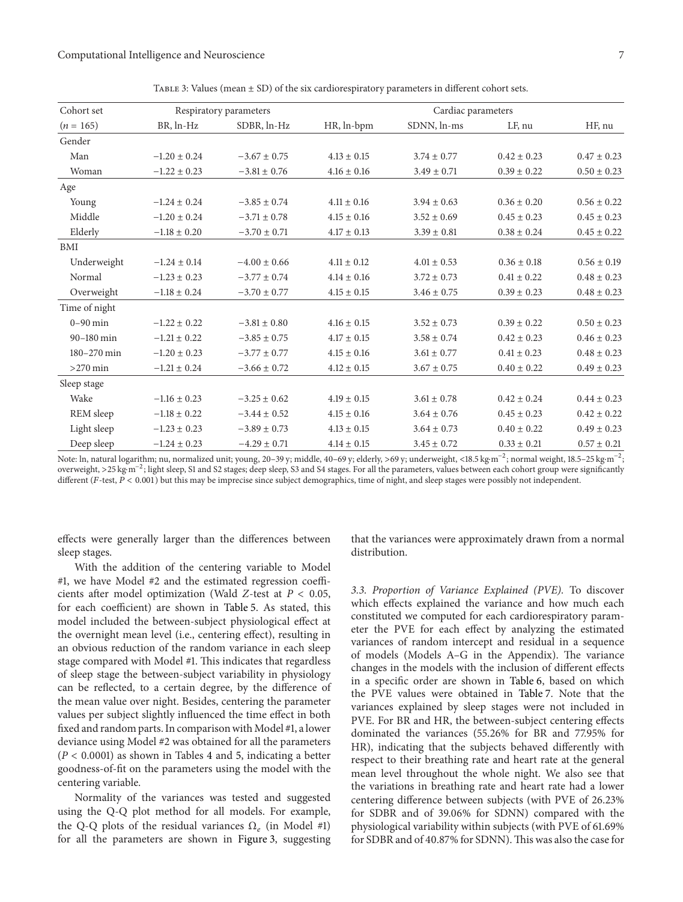| Cohort set    |                  | Respiratory parameters |                 | Cardiac parameters |                 |                 |
|---------------|------------------|------------------------|-----------------|--------------------|-----------------|-----------------|
| $(n = 165)$   | BR, ln-Hz        | SDBR, ln-Hz            | HR, ln-bpm      | SDNN, ln-ms        | LF, nu          | HF, nu          |
| Gender        |                  |                        |                 |                    |                 |                 |
| Man           | $-1.20 \pm 0.24$ | $-3.67 \pm 0.75$       | $4.13 \pm 0.15$ | $3.74 \pm 0.77$    | $0.42 \pm 0.23$ | $0.47 \pm 0.23$ |
| Woman         | $-1.22 \pm 0.23$ | $-3.81 \pm 0.76$       | $4.16 \pm 0.16$ | $3.49 \pm 0.71$    | $0.39 \pm 0.22$ | $0.50 \pm 0.23$ |
| Age           |                  |                        |                 |                    |                 |                 |
| Young         | $-1.24 \pm 0.24$ | $-3.85 \pm 0.74$       | $4.11 \pm 0.16$ | $3.94 \pm 0.63$    | $0.36 \pm 0.20$ | $0.56 \pm 0.22$ |
| Middle        | $-1.20 \pm 0.24$ | $-3.71 \pm 0.78$       | $4.15 \pm 0.16$ | $3.52 \pm 0.69$    | $0.45 \pm 0.23$ | $0.45 \pm 0.23$ |
| Elderly       | $-1.18 \pm 0.20$ | $-3.70 \pm 0.71$       | $4.17\pm0.13$   | $3.39 \pm 0.81$    | $0.38 \pm 0.24$ | $0.45 \pm 0.22$ |
| BMI           |                  |                        |                 |                    |                 |                 |
| Underweight   | $-1.24 \pm 0.14$ | $-4.00 \pm 0.66$       | $4.11 \pm 0.12$ | $4.01 \pm 0.53$    | $0.36 \pm 0.18$ | $0.56 \pm 0.19$ |
| Normal        | $-1.23 \pm 0.23$ | $-3.77 \pm 0.74$       | $4.14 \pm 0.16$ | $3.72 \pm 0.73$    | $0.41 \pm 0.22$ | $0.48 \pm 0.23$ |
| Overweight    | $-1.18 \pm 0.24$ | $-3.70 \pm 0.77$       | $4.15 \pm 0.15$ | $3.46 \pm 0.75$    | $0.39 \pm 0.23$ | $0.48 \pm 0.23$ |
| Time of night |                  |                        |                 |                    |                 |                 |
| $0-90$ min    | $-1.22 \pm 0.22$ | $-3.81 \pm 0.80$       | $4.16 \pm 0.15$ | $3.52 \pm 0.73$    | $0.39 \pm 0.22$ | $0.50 \pm 0.23$ |
| 90-180 min    | $-1.21 \pm 0.22$ | $-3.85 \pm 0.75$       | $4.17\pm0.15$   | $3.58 \pm 0.74$    | $0.42 \pm 0.23$ | $0.46 \pm 0.23$ |
| 180-270 min   | $-1.20 \pm 0.23$ | $-3.77 \pm 0.77$       | $4.15 \pm 0.16$ | $3.61 \pm 0.77$    | $0.41 \pm 0.23$ | $0.48\pm0.23$   |
| $>270$ min    | $-1.21 \pm 0.24$ | $-3.66 \pm 0.72$       | $4.12 \pm 0.15$ | $3.67 \pm 0.75$    | $0.40 \pm 0.22$ | $0.49 \pm 0.23$ |
| Sleep stage   |                  |                        |                 |                    |                 |                 |
| Wake          | $-1.16 \pm 0.23$ | $-3.25 \pm 0.62$       | $4.19 \pm 0.15$ | $3.61 \pm 0.78$    | $0.42 \pm 0.24$ | $0.44 \pm 0.23$ |
| REM sleep     | $-1.18 \pm 0.22$ | $-3.44 \pm 0.52$       | $4.15 \pm 0.16$ | $3.64 \pm 0.76$    | $0.45 \pm 0.23$ | $0.42 \pm 0.22$ |
| Light sleep   | $-1.23 \pm 0.23$ | $-3.89 \pm 0.73$       | $4.13 \pm 0.15$ | $3.64 \pm 0.73$    | $0.40 \pm 0.22$ | $0.49 \pm 0.23$ |
| Deep sleep    | $-1.24 \pm 0.23$ | $-4.29 \pm 0.71$       | $4.14 \pm 0.15$ | $3.45 \pm 0.72$    | $0.33 \pm 0.21$ | $0.57 \pm 0.21$ |

TABLE 3: Values (mean  $\pm$  SD) of the six cardiorespiratory parameters in different cohort sets.

Note: ln, natural logarithm; nu, normalized unit; young, 20-39 y; middle, 40-69 y; elderly, >69 y; underweight, <18.5 kg⋅m<sup>-2</sup>; normal weight, 18.5-25 kg⋅m<sup>-2</sup>; overweight, >25 kg⋅m<sup>-2</sup>; light sleep, S1 and S2 stages; deep sleep, S3 and S4 stages. For all the parameters, values between each cohort group were significantly different ( $F$ -test,  $P < 0.001$ ) but this may be imprecise since subject demographics, time of night, and sleep stages were possibly not independent.

effects were generally larger than the differences between sleep stages.

With the addition of the centering variable to Model #1, we have Model #2 and the estimated regression coefficients after model optimization (Wald *Z*-test at *P* < 0.05, for each coefficient) are shown in Table 5. As stated, this model included the between-subject physiological effect at the overnight mean level (i.e., centering effect), resulting in an obvious reduction of the random variance in each sleep stage compared with Model #1. This indicates that regardless of sleep stage the between-subject variability in physiology can be reflected, to a certain degree, by the difference of the mean value over night. Besides, centering the parameter values per subject slightly influenced the time effect in both fixed and random parts. In comparison with Model #1, a lower deviance using Model #2 was obtained for all the parameters (*P* < 0.0001) as shown in Tables 4 and 5, indicating a better goodness-of-fit on the parameters using the model with the centering variable.

Normality of the variances was tested and suggested using the Q-Q plot method for all models. For example, the Q-Q plots of the residual variances  $\Omega$ <sub>e</sub> (in Model #1) for all the parameters are shown in Figure 3, suggesting that the variances were approximately drawn from a normal distribution.

*3.3. Proportion of Variance Explained (PVE).* To discover which effects explained the variance and how much each constituted we computed for each cardiorespiratory parameter the PVE for each effect by analyzing the estimated variances of random intercept and residual in a sequence of models (Models A–G in the Appendix). The variance changes in the models with the inclusion of different effects in a specific order are shown in Table 6, based on which the PVE values were obtained in Table 7. Note that the variances explained by sleep stages were not included in PVE. For BR and HR, the between-subject centering effects dominated the variances (55.26% for BR and 77.95% for HR), indicating that the subjects behaved differently with respect to their breathing rate and heart rate at the general mean level throughout the whole night. We also see that the variations in breathing rate and heart rate had a lower centering difference between subjects (with PVE of 26.23% for SDBR and of 39.06% for SDNN) compared with the physiological variability within subjects (with PVE of 61.69% for SDBR and of 40.87% for SDNN). This was also the case for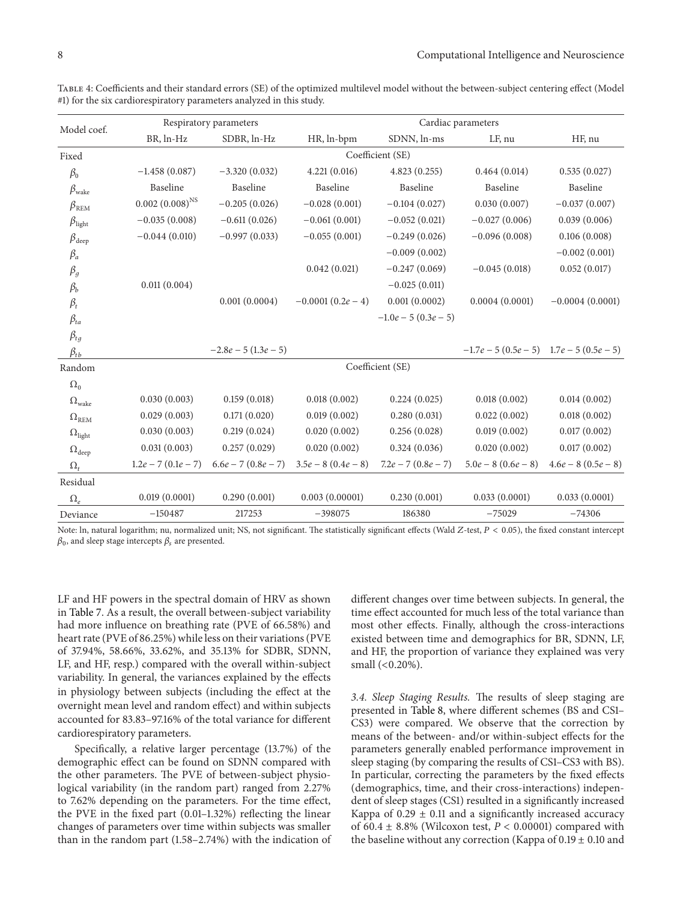| Model coef.             |                      | Respiratory parameters |                      | Cardiac parameters    |                                    |                      |  |  |  |  |
|-------------------------|----------------------|------------------------|----------------------|-----------------------|------------------------------------|----------------------|--|--|--|--|
|                         | BR, ln-Hz            | SDBR, ln-Hz            | HR, ln-bpm           | SDNN, ln-ms           | LF, nu                             | HF, nu               |  |  |  |  |
| Fixed                   |                      |                        |                      | Coefficient (SE)      |                                    |                      |  |  |  |  |
| $\beta_0$               | $-1.458(0.087)$      | $-3.320(0.032)$        | 4.221(0.016)         | 4.823(0.255)          | 0.464(0.014)                       | 0.535(0.027)         |  |  |  |  |
| $\beta_{\text{wake}}$   | Baseline             | Baseline               | Baseline             | Baseline              | Baseline                           | Baseline             |  |  |  |  |
| $\beta_{\text{REM}}$    | $0.002 (0.008)^{NS}$ | $-0.205(0.026)$        | $-0.028(0.001)$      | $-0.104(0.027)$       | 0.030(0.007)                       | $-0.037(0.007)$      |  |  |  |  |
| $\beta_{\rm light}$     | $-0.035(0.008)$      | $-0.611(0.026)$        | $-0.061(0.001)$      | $-0.052(0.021)$       | $-0.027(0.006)$                    | 0.039(0.006)         |  |  |  |  |
| $\beta_{\text{deep}}$   | $-0.044(0.010)$      | $-0.997(0.033)$        | $-0.055(0.001)$      | $-0.249(0.026)$       | $-0.096(0.008)$                    | 0.106(0.008)         |  |  |  |  |
| $\beta_a$               |                      |                        |                      | $-0.009(0.002)$       |                                    | $-0.002(0.001)$      |  |  |  |  |
| $\beta_g$               |                      |                        | 0.042(0.021)         | $-0.247(0.069)$       | $-0.045(0.018)$                    | 0.052(0.017)         |  |  |  |  |
| $\beta_b$               | 0.011(0.004)         |                        |                      | $-0.025(0.011)$       |                                    |                      |  |  |  |  |
| $\beta_t$               |                      | 0.001(0.0004)          | $-0.0001(0.2e-4)$    | 0.001(0.0002)         | 0.0004(0.0001)                     | $-0.0004(0.0001)$    |  |  |  |  |
| $\beta_{ta}$            |                      |                        |                      | $-1.0e - 5(0.3e - 5)$ |                                    |                      |  |  |  |  |
| $\beta_{tg}$            |                      |                        |                      |                       |                                    |                      |  |  |  |  |
| $\beta_{tb}$            |                      | $-2.8e-5(1.3e-5)$      |                      |                       | $-1.7e-5(0.5e-5)$ $1.7e-5(0.5e-5)$ |                      |  |  |  |  |
| Random                  |                      |                        |                      | Coefficient (SE)      |                                    |                      |  |  |  |  |
| $\Omega_0$              |                      |                        |                      |                       |                                    |                      |  |  |  |  |
| $\Omega_{\text{wake}}$  | 0.030(0.003)         | 0.159(0.018)           | 0.018(0.002)         | 0.224(0.025)          | 0.018(0.002)                       | 0.014(0.002)         |  |  |  |  |
| $\Omega_{\rm REM}$      | 0.029(0.003)         | 0.171(0.020)           | 0.019(0.002)         | 0.280(0.031)          | 0.022(0.002)                       | 0.018(0.002)         |  |  |  |  |
| $\Omega_{\text{light}}$ | 0.030(0.003)         | 0.219(0.024)           | 0.020(0.002)         | 0.256(0.028)          | 0.019(0.002)                       | 0.017(0.002)         |  |  |  |  |
| $\Omega_{\rm deep}$     | 0.031(0.003)         | 0.257(0.029)           | 0.020(0.002)         | 0.324(0.036)          | 0.020(0.002)                       | 0.017(0.002)         |  |  |  |  |
| $\Omega_t$              | $1.2e - 7(0.1e - 7)$ | $6.6e - 7(0.8e - 7)$   | $3.5e - 8(0.4e - 8)$ | $7.2e - 7(0.8e - 7)$  | $5.0e - 8(0.6e - 8)$               | $4.6e - 8(0.5e - 8)$ |  |  |  |  |
| Residual                |                      |                        |                      |                       |                                    |                      |  |  |  |  |
| $\Omega_e$              | 0.019(0.0001)        | 0.290(0.001)           | 0.003(0.00001)       | 0.230(0.001)          | 0.033(0.0001)                      | 0.033(0.0001)        |  |  |  |  |
| Deviance                | $-150487$            | 217253                 | $-398075$            | 186380                | $-75029$                           | $-74306$             |  |  |  |  |

Table 4: Coefficients and their standard errors (SE) of the optimized multilevel model without the between-subject centering effect (Model #1) for the six cardiorespiratory parameters analyzed in this study.

Note: ln, natural logarithm; nu, normalized unit; NS, not significant. The statistically significant effects (Wald Z-test,  $P < 0.05$ ), the fixed constant intercept  $\beta_0$ , and sleep stage intercepts  $\beta_s$  are presented.

LF and HF powers in the spectral domain of HRV as shown in Table 7. As a result, the overall between-subject variability had more influence on breathing rate (PVE of 66.58%) and heart rate (PVE of 86.25%) while less on their variations (PVE of 37.94%, 58.66%, 33.62%, and 35.13% for SDBR, SDNN, LF, and HF, resp.) compared with the overall within-subject variability. In general, the variances explained by the effects in physiology between subjects (including the effect at the overnight mean level and random effect) and within subjects accounted for 83.83–97.16% of the total variance for different cardiorespiratory parameters.

Specifically, a relative larger percentage (13.7%) of the demographic effect can be found on SDNN compared with the other parameters. The PVE of between-subject physiological variability (in the random part) ranged from 2.27% to 7.62% depending on the parameters. For the time effect, the PVE in the fixed part (0.01–1.32%) reflecting the linear changes of parameters over time within subjects was smaller than in the random part (1.58–2.74%) with the indication of different changes over time between subjects. In general, the time effect accounted for much less of the total variance than most other effects. Finally, although the cross-interactions existed between time and demographics for BR, SDNN, LF, and HF, the proportion of variance they explained was very small (<0.20%).

*3.4. Sleep Staging Results.* The results of sleep staging are presented in Table 8, where different schemes (BS and CS1– CS3) were compared. We observe that the correction by means of the between- and/or within-subject effects for the parameters generally enabled performance improvement in sleep staging (by comparing the results of CS1–CS3 with BS). In particular, correcting the parameters by the fixed effects (demographics, time, and their cross-interactions) independent of sleep stages (CS1) resulted in a significantly increased Kappa of  $0.29 \pm 0.11$  and a significantly increased accuracy of 60.4 ± 8.8% (Wilcoxon test, *P* < 0.00001) compared with the baseline without any correction (Kappa of  $0.19 \pm 0.10$  and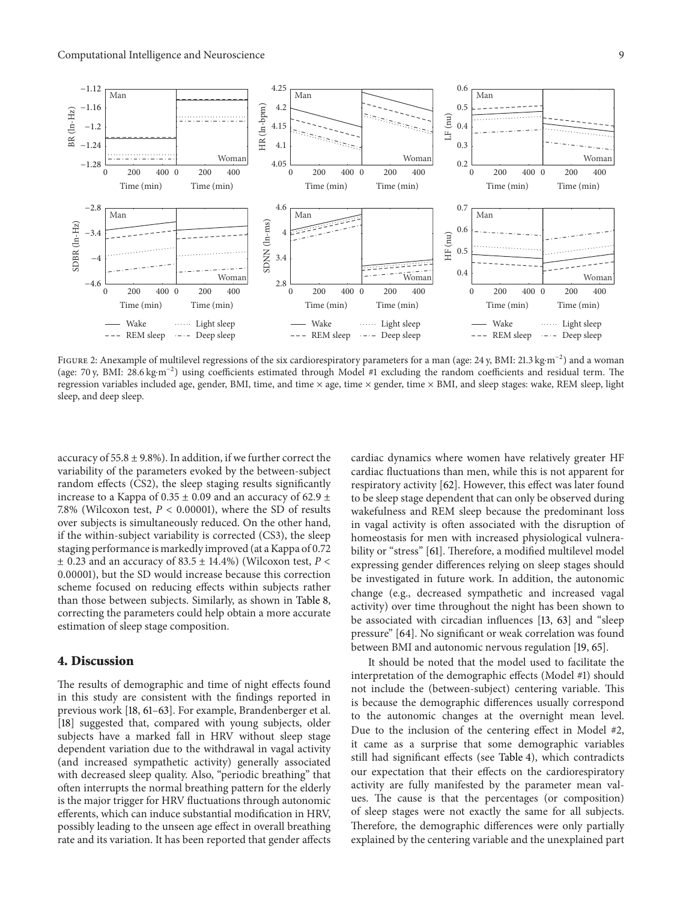

Figure 2: Anexample of multilevel regressions of the six cardiorespiratory parameters for a man (age: 24 y, BMI: 21.3 kg⋅m−2) and a woman (age: 70 y, BMI: 28.6 kg⋅m−2) using coefficients estimated through Model #1 excluding the random coefficients and residual term. The regression variables included age, gender, BMI, time, and time  $\times$  age, time  $\times$  gender, time  $\times$  BMI, and sleep stages: wake, REM sleep, light sleep, and deep sleep.

accuracy of  $55.8 \pm 9.8$ %). In addition, if we further correct the variability of the parameters evoked by the between-subject random effects (CS2), the sleep staging results significantly increase to a Kappa of  $0.35 \pm 0.09$  and an accuracy of 62.9  $\pm$ 7.8% (Wilcoxon test, *P* < 0.00001), where the SD of results over subjects is simultaneously reduced. On the other hand, if the within-subject variability is corrected (CS3), the sleep staging performance is markedly improved (at a Kappa of 0.72  $\pm$  0.23 and an accuracy of 83.5  $\pm$  14.4%) (Wilcoxon test, *P* < 0.00001), but the SD would increase because this correction scheme focused on reducing effects within subjects rather than those between subjects. Similarly, as shown in Table 8, correcting the parameters could help obtain a more accurate estimation of sleep stage composition.

#### **4. Discussion**

The results of demographic and time of night effects found in this study are consistent with the findings reported in previous work [18, 61–63]. For example, Brandenberger et al. [18] suggested that, compared with young subjects, older subjects have a marked fall in HRV without sleep stage dependent variation due to the withdrawal in vagal activity (and increased sympathetic activity) generally associated with decreased sleep quality. Also, "periodic breathing" that often interrupts the normal breathing pattern for the elderly is the major trigger for HRV fluctuations through autonomic efferents, which can induce substantial modification in HRV, possibly leading to the unseen age effect in overall breathing rate and its variation. It has been reported that gender affects cardiac dynamics where women have relatively greater HF cardiac fluctuations than men, while this is not apparent for respiratory activity [62]. However, this effect was later found to be sleep stage dependent that can only be observed during wakefulness and REM sleep because the predominant loss in vagal activity is often associated with the disruption of homeostasis for men with increased physiological vulnerability or "stress" [61]. Therefore, a modified multilevel model expressing gender differences relying on sleep stages should be investigated in future work. In addition, the autonomic change (e.g., decreased sympathetic and increased vagal activity) over time throughout the night has been shown to be associated with circadian influences [13, 63] and "sleep pressure" [64]. No significant or weak correlation was found between BMI and autonomic nervous regulation [19, 65].

It should be noted that the model used to facilitate the interpretation of the demographic effects (Model #1) should not include the (between-subject) centering variable. This is because the demographic differences usually correspond to the autonomic changes at the overnight mean level. Due to the inclusion of the centering effect in Model #2, it came as a surprise that some demographic variables still had significant effects (see Table 4), which contradicts our expectation that their effects on the cardiorespiratory activity are fully manifested by the parameter mean values. The cause is that the percentages (or composition) of sleep stages were not exactly the same for all subjects. Therefore, the demographic differences were only partially explained by the centering variable and the unexplained part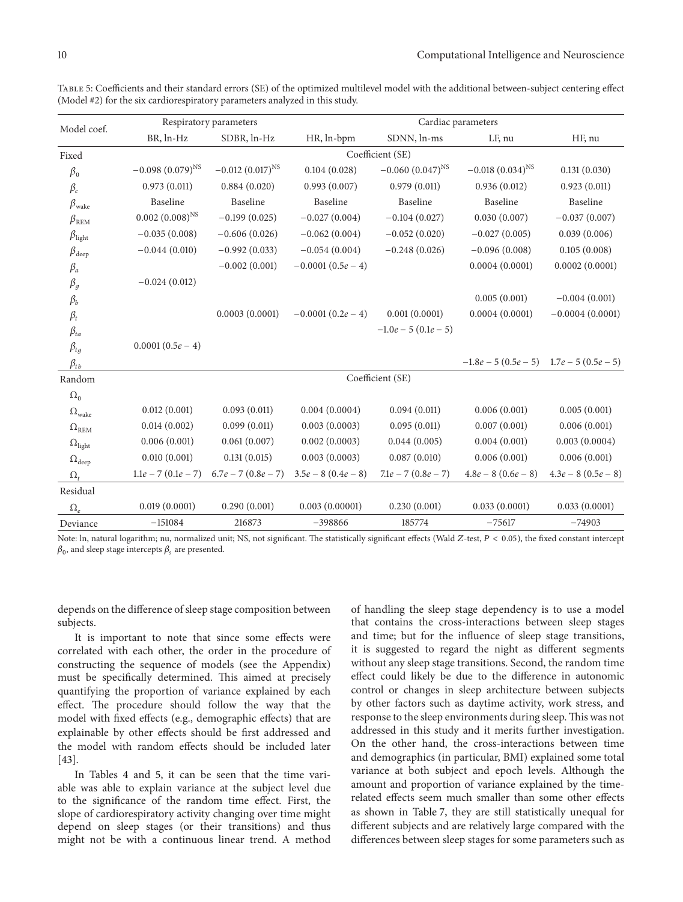| Model coef.             |                      | Respiratory parameters | Cardiac parameters   |                      |                                            |                      |  |  |
|-------------------------|----------------------|------------------------|----------------------|----------------------|--------------------------------------------|----------------------|--|--|
|                         | BR, ln-Hz            | SDBR, ln-Hz            | HR, ln-bpm           | SDNN, ln-ms          | LF, nu                                     | HF, nu               |  |  |
| Fixed                   |                      |                        |                      | Coefficient (SE)     |                                            |                      |  |  |
| $\beta_0$               | $-0.098(0.079)^{NS}$ | $-0.012(0.017)^{NS}$   | 0.104(0.028)         | $-0.060(0.047)^{NS}$ | $-0.018(0.034)^{NS}$                       | 0.131(0.030)         |  |  |
| $\beta_c$               | 0.973(0.011)         | 0.884(0.020)           | 0.993(0.007)         | 0.979(0.011)         | 0.936(0.012)                               | 0.923(0.011)         |  |  |
| $\beta_{\text{wake}}$   | Baseline             | Baseline               | Baseline             | Baseline             | Baseline                                   | Baseline             |  |  |
| $\beta_{\text{REM}}$    | $0.002 (0.008)^{NS}$ | $-0.199(0.025)$        | $-0.027(0.004)$      | $-0.104(0.027)$      | 0.030(0.007)                               | $-0.037(0.007)$      |  |  |
| $\beta_{\text{light}}$  | $-0.035(0.008)$      | $-0.606(0.026)$        | $-0.062(0.004)$      | $-0.052(0.020)$      | $-0.027(0.005)$                            | 0.039(0.006)         |  |  |
| $\beta_{\text{deep}}$   | $-0.044(0.010)$      | $-0.992(0.033)$        | $-0.054(0.004)$      | $-0.248(0.026)$      | $-0.096(0.008)$                            | 0.105(0.008)         |  |  |
| $\beta_a$               |                      | $-0.002(0.001)$        | $-0.0001(0.5e-4)$    |                      | 0.0004(0.0001)                             | 0.0002(0.0001)       |  |  |
| $\beta_g$               | $-0.024(0.012)$      |                        |                      |                      |                                            |                      |  |  |
| $\beta_b$               |                      |                        |                      |                      | 0.005(0.001)                               | $-0.004(0.001)$      |  |  |
| $\beta_t$               |                      | 0.0003(0.0001)         | $-0.0001(0.2e-4)$    | 0.001(0.0001)        | 0.0004(0.0001)                             | $-0.0004(0.0001)$    |  |  |
| $\beta_{ta}$            |                      |                        |                      | $-1.0e-5(0.1e-5)$    |                                            |                      |  |  |
| $\beta_{tg}$            | $0.0001(0.5e-4)$     |                        |                      |                      |                                            |                      |  |  |
| $\beta_{tb}$            |                      |                        |                      |                      | $-1.8e - 5(0.5e - 5)$ $1.7e - 5(0.5e - 5)$ |                      |  |  |
| Random                  |                      |                        |                      | Coefficient (SE)     |                                            |                      |  |  |
| $\Omega_0$              |                      |                        |                      |                      |                                            |                      |  |  |
| $\Omega_{\text{wake}}$  | 0.012(0.001)         | 0.093(0.011)           | 0.004(0.0004)        | 0.094(0.011)         | 0.006(0.001)                               | 0.005(0.001)         |  |  |
| $\Omega_{\text{REM}}$   | 0.014(0.002)         | 0.099(0.011)           | 0.003(0.0003)        | 0.095(0.011)         | 0.007(0.001)                               | 0.006(0.001)         |  |  |
| $\Omega_{\text{light}}$ | 0.006(0.001)         | 0.061(0.007)           | 0.002(0.0003)        | 0.044(0.005)         | 0.004(0.001)                               | 0.003(0.0004)        |  |  |
| $\Omega_{\text{deep}}$  | 0.010(0.001)         | 0.131(0.015)           | 0.003(0.0003)        | 0.087(0.010)         | 0.006(0.001)                               | 0.006(0.001)         |  |  |
| $\Omega_t$              | $1.1e - 7(0.1e - 7)$ | $6.7e - 7(0.8e - 7)$   | $3.5e - 8(0.4e - 8)$ | $7.1e - 7(0.8e - 7)$ | $4.8e - 8(0.6e - 8)$                       | $4.3e - 8(0.5e - 8)$ |  |  |
| Residual                |                      |                        |                      |                      |                                            |                      |  |  |
| $\Omega_e$              | 0.019(0.0001)        | 0.290(0.001)           | 0.003(0.00001)       | 0.230(0.001)         | 0.033(0.0001)                              | 0.033(0.0001)        |  |  |

Table 5: Coefficients and their standard errors (SE) of the optimized multilevel model with the additional between-subject centering effect (Model #2) for the six cardiorespiratory parameters analyzed in this study.

Note: ln, natural logarithm; nu, normalized unit; NS, not significant. The statistically significant effects (Wald Z-test,  $P < 0.05$ ), the fixed constant intercept  $\beta_0$ , and sleep stage intercepts  $\beta_s$  are presented.

Deviance −151084 216873 −398866 185774 −75617 −74903

depends on the difference of sleep stage composition between subjects.

It is important to note that since some effects were correlated with each other, the order in the procedure of constructing the sequence of models (see the Appendix) must be specifically determined. This aimed at precisely quantifying the proportion of variance explained by each effect. The procedure should follow the way that the model with fixed effects (e.g., demographic effects) that are explainable by other effects should be first addressed and the model with random effects should be included later [43].

In Tables 4 and 5, it can be seen that the time variable was able to explain variance at the subject level due to the significance of the random time effect. First, the slope of cardiorespiratory activity changing over time might depend on sleep stages (or their transitions) and thus might not be with a continuous linear trend. A method of handling the sleep stage dependency is to use a model that contains the cross-interactions between sleep stages and time; but for the influence of sleep stage transitions, it is suggested to regard the night as different segments without any sleep stage transitions. Second, the random time effect could likely be due to the difference in autonomic control or changes in sleep architecture between subjects by other factors such as daytime activity, work stress, and response to the sleep environments during sleep.This was not addressed in this study and it merits further investigation. On the other hand, the cross-interactions between time and demographics (in particular, BMI) explained some total variance at both subject and epoch levels. Although the amount and proportion of variance explained by the timerelated effects seem much smaller than some other effects as shown in Table 7, they are still statistically unequal for different subjects and are relatively large compared with the differences between sleep stages for some parameters such as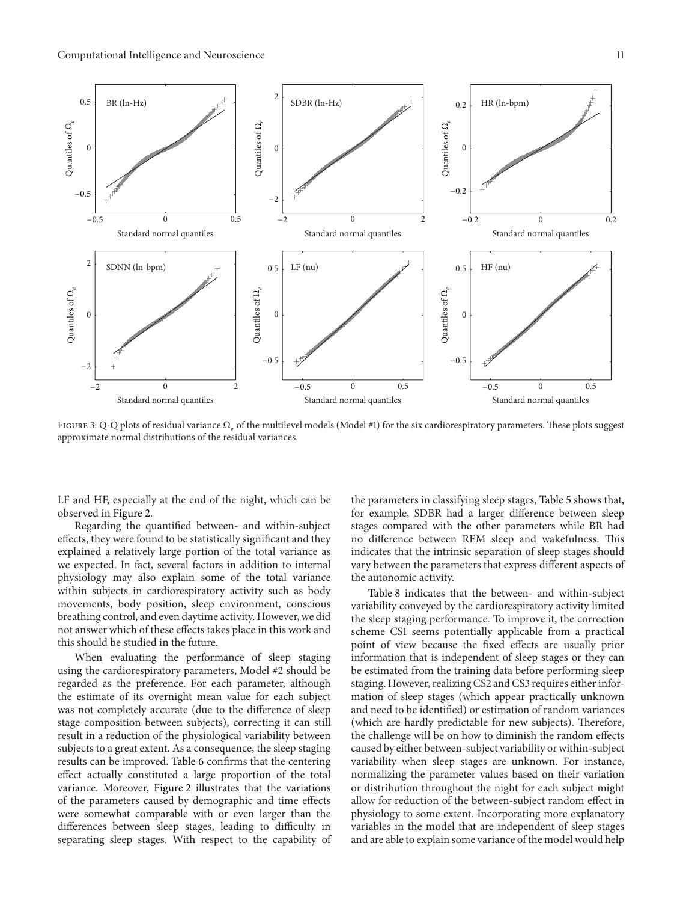

FIGURE 3: Q-Q plots of residual variance  $\Omega_e$  of the multilevel models (Model #1) for the six cardiorespiratory parameters. These plots suggest approximate normal distributions of the residual variances.

LF and HF, especially at the end of the night, which can be observed in Figure 2.

Regarding the quantified between- and within-subject effects, they were found to be statistically significant and they explained a relatively large portion of the total variance as we expected. In fact, several factors in addition to internal physiology may also explain some of the total variance within subjects in cardiorespiratory activity such as body movements, body position, sleep environment, conscious breathing control, and even daytime activity. However, we did not answer which of these effects takes place in this work and this should be studied in the future.

When evaluating the performance of sleep staging using the cardiorespiratory parameters, Model #2 should be regarded as the preference. For each parameter, although the estimate of its overnight mean value for each subject was not completely accurate (due to the difference of sleep stage composition between subjects), correcting it can still result in a reduction of the physiological variability between subjects to a great extent. As a consequence, the sleep staging results can be improved. Table 6 confirms that the centering effect actually constituted a large proportion of the total variance. Moreover, Figure 2 illustrates that the variations of the parameters caused by demographic and time effects were somewhat comparable with or even larger than the differences between sleep stages, leading to difficulty in separating sleep stages. With respect to the capability of the parameters in classifying sleep stages, Table 5 shows that, for example, SDBR had a larger difference between sleep stages compared with the other parameters while BR had no difference between REM sleep and wakefulness. This indicates that the intrinsic separation of sleep stages should vary between the parameters that express different aspects of the autonomic activity.

Table 8 indicates that the between- and within-subject variability conveyed by the cardiorespiratory activity limited the sleep staging performance. To improve it, the correction scheme CS1 seems potentially applicable from a practical point of view because the fixed effects are usually prior information that is independent of sleep stages or they can be estimated from the training data before performing sleep staging. However, realizing CS2 and CS3 requires either information of sleep stages (which appear practically unknown and need to be identified) or estimation of random variances (which are hardly predictable for new subjects). Therefore, the challenge will be on how to diminish the random effects caused by either between-subject variability or within-subject variability when sleep stages are unknown. For instance, normalizing the parameter values based on their variation or distribution throughout the night for each subject might allow for reduction of the between-subject random effect in physiology to some extent. Incorporating more explanatory variables in the model that are independent of sleep stages and are able to explain some variance of the model would help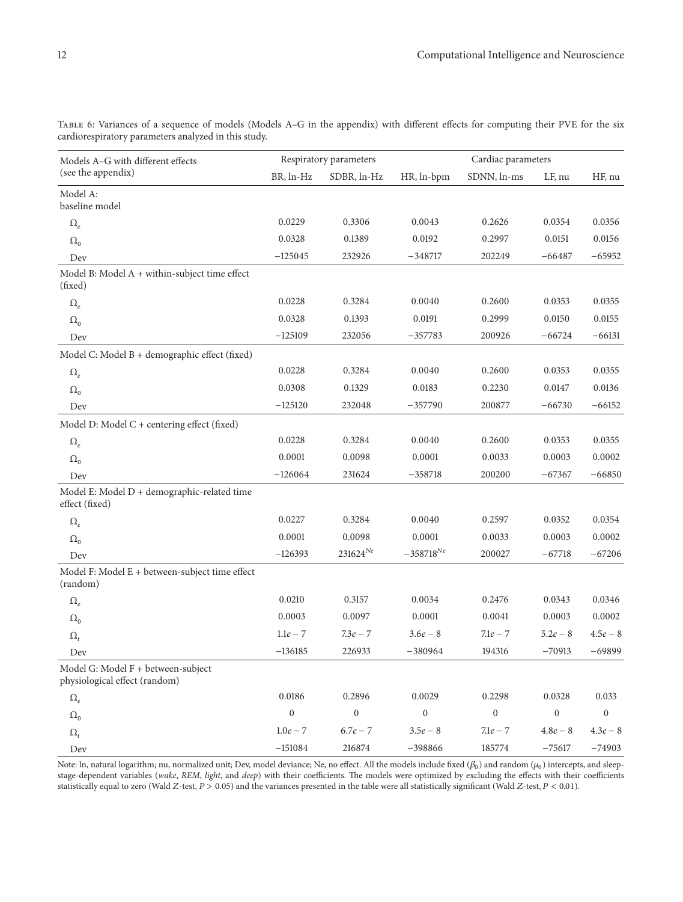| Models A-G with different effects                                   |                  | Respiratory parameters |                  | Cardiac parameters |                  |                  |
|---------------------------------------------------------------------|------------------|------------------------|------------------|--------------------|------------------|------------------|
| (see the appendix)                                                  | BR, ln-Hz        | SDBR, ln-Hz            | HR, ln-bpm       | SDNN, ln-ms        | LF, nu           | HF, nu           |
| Model A:<br>baseline model                                          |                  |                        |                  |                    |                  |                  |
| $\Omega_e$                                                          | 0.0229           | 0.3306                 | 0.0043           | 0.2626             | 0.0354           | 0.0356           |
| $\Omega_0$                                                          | 0.0328           | 0.1389                 | 0.0192           | 0.2997             | 0.0151           | 0.0156           |
| Dev                                                                 | $-125045$        | 232926                 | $-348717$        | 202249             | $-66487$         | $-65952$         |
| Model B: Model $A +$ within-subject time effect<br>(fixed)          |                  |                        |                  |                    |                  |                  |
| $\Omega_e$                                                          | 0.0228           | 0.3284                 | 0.0040           | 0.2600             | 0.0353           | 0.0355           |
| $\Omega_0$                                                          | 0.0328           | 0.1393                 | 0.0191           | 0.2999             | 0.0150           | 0.0155           |
| Dev                                                                 | $-125109$        | 232056                 | $-357783$        | 200926             | $-66724$         | $-66131$         |
| Model C: Model B + demographic effect (fixed)                       |                  |                        |                  |                    |                  |                  |
| $\Omega_e$                                                          | 0.0228           | 0.3284                 | 0.0040           | 0.2600             | 0.0353           | 0.0355           |
| $\Omega_0$                                                          | 0.0308           | 0.1329                 | 0.0183           | 0.2230             | 0.0147           | 0.0136           |
| Dev                                                                 | $-125120$        | 232048                 | $-357790$        | 200877             | $-66730$         | $-66152$         |
| Model D: Model C + centering effect (fixed)                         |                  |                        |                  |                    |                  |                  |
| $\Omega_e$                                                          | 0.0228           | 0.3284                 | 0.0040           | 0.2600             | 0.0353           | 0.0355           |
| $\Omega_0$                                                          | 0.0001           | 0.0098                 | 0.0001           | 0.0033             | 0.0003           | 0.0002           |
| Dev                                                                 | $-126064$        | 231624                 | $-358718$        | 200200             | $-67367$         | $-66850$         |
| Model E: Model D + demographic-related time<br>effect (fixed)       |                  |                        |                  |                    |                  |                  |
| $\Omega_e$                                                          | 0.0227           | 0.3284                 | 0.0040           | 0.2597             | 0.0352           | 0.0354           |
| $\Omega_0$                                                          | 0.0001           | 0.0098                 | 0.0001           | 0.0033             | 0.0003           | 0.0002           |
| Dev                                                                 | $-126393$        | $231624^{Ne}$          | $-358718^{Ne}$   | 200027             | $-67718$         | $-67206$         |
| Model F: Model E + between-subject time effect<br>(random)          |                  |                        |                  |                    |                  |                  |
| $\Omega_e$                                                          | 0.0210           | 0.3157                 | 0.0034           | 0.2476             | 0.0343           | 0.0346           |
| $\Omega_0$                                                          | 0.0003           | 0.0097                 | 0.0001           | 0.0041             | 0.0003           | 0.0002           |
| $\Omega_t$                                                          | $1.1e - 7$       | $7.3e - 7$             | $3.6e - 8$       | $7.1e - 7$         | $5.2e - 8$       | $4.5e - 8$       |
| Dev                                                                 | $-136185$        | 226933                 | $-380964$        | 194316             | $-70913$         | $-69899$         |
| Model G: Model F + between-subject<br>physiological effect (random) |                  |                        |                  |                    |                  |                  |
| $\Omega_e$                                                          | 0.0186           | 0.2896                 | 0.0029           | 0.2298             | 0.0328           | 0.033            |
| $\Omega_0$                                                          | $\boldsymbol{0}$ | $\boldsymbol{0}$       | $\boldsymbol{0}$ | $\boldsymbol{0}$   | $\boldsymbol{0}$ | $\boldsymbol{0}$ |
| $\Omega_t$                                                          | $1.0e - 7$       | $6.7e - 7$             | $3.5e - 8$       | $7.1e - 7$         | $4.8e - 8$       | $4.3e - 8$       |
| Dev                                                                 | $-151084$        | 216874                 | $-398866$        | 185774             | $-75617$         | $-74903$         |

Table 6: Variances of a sequence of models (Models A–G in the appendix) with different effects for computing their PVE for the six cardiorespiratory parameters analyzed in this study.

Note: ln, natural logarithm; nu, normalized unit; Dev, model deviance; Ne, no effect. All the models include fixed ( $\beta_0$ ) and random ( $\mu_0$ ) intercepts, and sleepstage-dependent variables (*wake*, *REM*, *light*, and *deep*) with their coefficients. The models were optimized by excluding the effects with their coefficients statistically equal to zero (Wald Z-test,  $P > 0.05$ ) and the variances presented in the table were all statistically significant (Wald Z-test,  $P < 0.01$ ).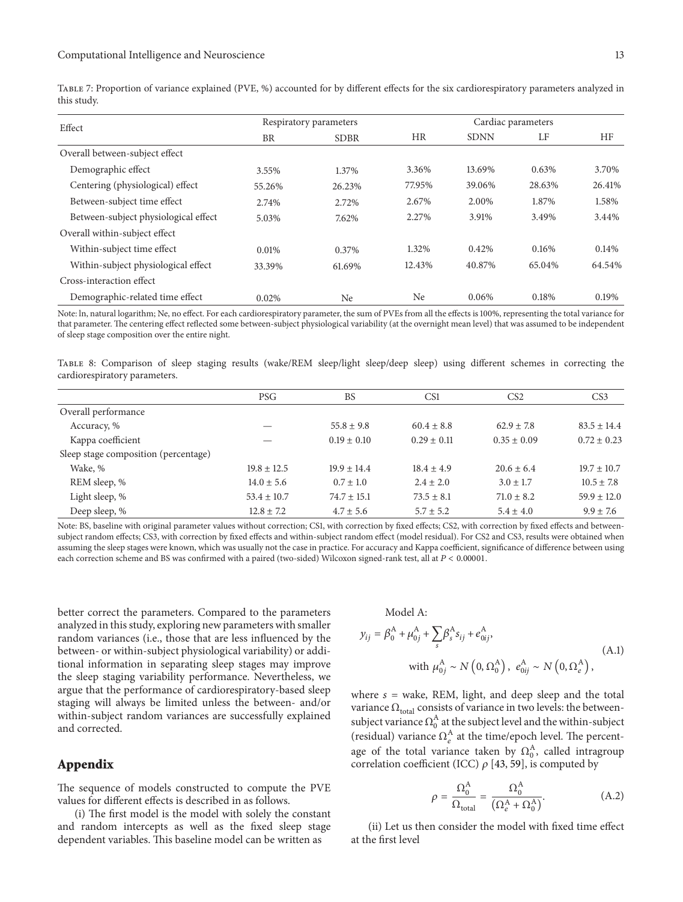| Effect                               |           | Respiratory parameters | Cardiac parameters |             |        |        |  |
|--------------------------------------|-----------|------------------------|--------------------|-------------|--------|--------|--|
|                                      | <b>BR</b> | <b>SDBR</b>            | <b>HR</b>          | <b>SDNN</b> | LF     | HF     |  |
| Overall between-subject effect       |           |                        |                    |             |        |        |  |
| Demographic effect                   | 3.55%     | 1.37%                  | 3.36%              | 13.69%      | 0.63%  | 3.70%  |  |
| Centering (physiological) effect     | 55.26%    | 26.23%                 | 77.95%             | 39.06%      | 28.63% | 26.41% |  |
| Between-subject time effect          | 2.74%     | 2.72%                  | 2.67%              | 2.00%       | 1.87%  | 1.58%  |  |
| Between-subject physiological effect | 5.03%     | 7.62%                  | 2.27%              | 3.91%       | 3.49%  | 3.44%  |  |
| Overall within-subject effect        |           |                        |                    |             |        |        |  |
| Within-subject time effect           | 0.01%     | 0.37%                  | 1.32%              | 0.42%       | 0.16%  | 0.14%  |  |
| Within-subject physiological effect  | 33.39%    | 61.69%                 | 12.43%             | 40.87%      | 65.04% | 64.54% |  |
| Cross-interaction effect             |           |                        |                    |             |        |        |  |
| Demographic-related time effect      | $0.02\%$  | Ne                     | Ne                 | 0.06%       | 0.18%  | 0.19%  |  |

Table 7: Proportion of variance explained (PVE, %) accounted for by different effects for the six cardiorespiratory parameters analyzed in this study.

Note: ln, natural logarithm; Ne, no effect. For each cardiorespiratory parameter, the sum of PVEs from all the effects is 100%, representing the total variance for that parameter. The centering effect reflected some between-subject physiological variability (at the overnight mean level) that was assumed to be independent of sleep stage composition over the entire night.

Table 8: Comparison of sleep staging results (wake/REM sleep/light sleep/deep sleep) using different schemes in correcting the cardiorespiratory parameters.

|                                      | <b>PSG</b>      | <b>BS</b>       | CS1             | CS <sub>2</sub> | CS <sub>3</sub> |
|--------------------------------------|-----------------|-----------------|-----------------|-----------------|-----------------|
| Overall performance                  |                 |                 |                 |                 |                 |
| Accuracy, %                          |                 | $55.8 \pm 9.8$  | $60.4 \pm 8.8$  | $62.9 \pm 7.8$  | $83.5 \pm 14.4$ |
| Kappa coefficient                    |                 | $0.19 \pm 0.10$ | $0.29 \pm 0.11$ | $0.35 \pm 0.09$ | $0.72 \pm 0.23$ |
| Sleep stage composition (percentage) |                 |                 |                 |                 |                 |
| Wake, %                              | $19.8 \pm 12.5$ | $19.9 \pm 14.4$ | $18.4 \pm 4.9$  | $20.6 \pm 6.4$  | $19.7 \pm 10.7$ |
| REM sleep, %                         | $14.0 \pm 5.6$  | $0.7 \pm 1.0$   | $2.4 \pm 2.0$   | $3.0 \pm 1.7$   | $10.5 \pm 7.8$  |
| Light sleep, %                       | $53.4 \pm 10.7$ | $74.7 \pm 15.1$ | $73.5 \pm 8.1$  | $71.0 \pm 8.2$  | $59.9 \pm 12.0$ |
| Deep sleep, %                        | $12.8 \pm 7.2$  | $4.7 \pm 5.6$   | $5.7 + 5.2$     | $5.4 \pm 4.0$   | $9.9 \pm 7.6$   |

Note: BS, baseline with original parameter values without correction; CS1, with correction by fixed effects; CS2, with correction by fixed effects and betweensubject random effects; CS3, with correction by fixed effects and within-subject random effect (model residual). For CS2 and CS3, results were obtained when assuming the sleep stages were known, which was usually not the case in practice. For accuracy and Kappa coefficient, significance of difference between using each correction scheme and BS was confirmed with a paired (two-sided) Wilcoxon signed-rank test, all at  $P < 0.00001$ .

better correct the parameters. Compared to the parameters analyzed in this study, exploring new parameters with smaller random variances (i.e., those that are less influenced by the between- or within-subject physiological variability) or additional information in separating sleep stages may improve the sleep staging variability performance. Nevertheless, we argue that the performance of cardiorespiratory-based sleep staging will always be limited unless the between- and/or within-subject random variances are successfully explained and corrected.

#### **Appendix**

The sequence of models constructed to compute the PVE values for different effects is described in as follows.

(i) The first model is the model with solely the constant and random intercepts as well as the fixed sleep stage dependent variables. This baseline model can be written as

Model A:

$$
y_{ij} = \beta_0^A + \mu_{0j}^A + \sum_{s} \beta_s^A s_{ij} + e_{0ij}^A,
$$
  
\nwith  $\mu_{0j}^A \sim N(0, \Omega_0^A), e_{0ij}^A \sim N(0, \Omega_e^A),$  (A.1)

where  $s =$  wake, REM, light, and deep sleep and the total variance  $\Omega_{\text{total}}$  consists of variance in two levels: the betweensubject variance  $\Omega_0^A$  at the subject level and the within-subject (residual) variance  $\Omega_e^{\text{A}}$  at the time/epoch level. The percentage of the total variance taken by  $\Omega_0^A$ , called intragroup correlation coefficient (ICC)  $\rho$  [43, 59], is computed by

$$
\rho = \frac{\Omega_0^{\mathcal{A}}}{\Omega_{\text{total}}} = \frac{\Omega_0^{\mathcal{A}}}{\left(\Omega_e^{\mathcal{A}} + \Omega_0^{\mathcal{A}}\right)}.
$$
\n(A.2)

(ii) Let us then consider the model with fixed time effect at the first level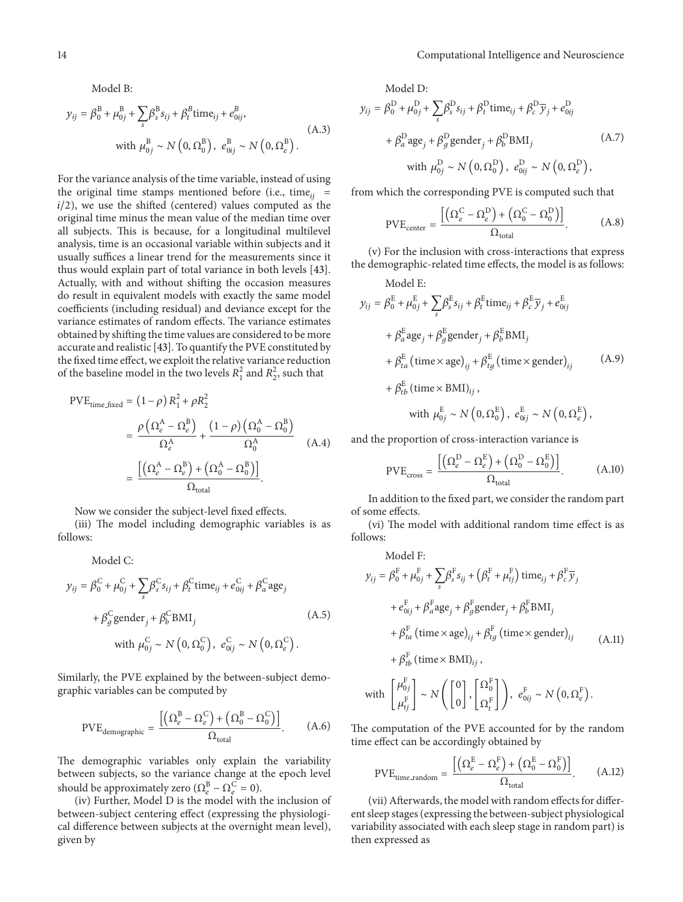Model B:

$$
y_{ij} = \beta_0^B + \mu_{0j}^B + \sum_{s} \beta_s^B s_{ij} + \beta_t^B \text{time}_{ij} + e_{0ij}^B,
$$
  
with  $\mu_{0j}^B \sim N(0, \Omega_0^B), e_{0ij}^B \sim N(0, \Omega_e^B).$  (A.3)

For the variance analysis of the time variable, instead of using the original time stamps mentioned before (i.e., time $_{ii}$  =  $i/2$ ), we use the shifted (centered) values computed as the original time minus the mean value of the median time over all subjects. This is because, for a longitudinal multilevel analysis, time is an occasional variable within subjects and it usually suffices a linear trend for the measurements since it thus would explain part of total variance in both levels [43]. Actually, with and without shifting the occasion measures do result in equivalent models with exactly the same model coefficients (including residual) and deviance except for the variance estimates of random effects. The variance estimates obtained by shifting the time values are considered to be more accurate and realistic [43]. To quantify the PVE constituted by the fixed time effect, we exploit the relative variance reduction of the baseline model in the two levels  $R_1^2$  and  $R_2^2$ , such that

$$
PVEtime.fixed = (1 - \rho) R12 + \rho R22
$$
  
= 
$$
\frac{\rho (\Omega_e^A - \Omega_e^B)}{\Omega_e^A} + \frac{(1 - \rho) (\Omega_0^A - \Omega_0^B)}{\Omega_0^A}
$$
  
= 
$$
\frac{[(\Omega_e^A - \Omega_e^B) + (\Omega_0^A - \Omega_0^B)]}{\Omega_{total}}.
$$
 (A.4)

Now we consider the subject-level fixed effects.

(iii) The model including demographic variables is as follows:

Model C:

$$
y_{ij} = \beta_0^C + \mu_{0j}^C + \sum_s \beta_s^C s_{ij} + \beta_t^C \text{time}_{ij} + e_{0ij}^C + \beta_a^C \text{age}_j
$$
  
+  $\beta_g^C$ gender<sub>j</sub> +  $\beta_b^C$ BMI<sub>j</sub> (A.5)  
with  $\mu_{0j}^C \sim N(0, \Omega_0^C)$ ,  $e_{0ij}^C \sim N(0, \Omega_e^C)$ .

Similarly, the PVE explained by the between-subject demographic variables can be computed by

$$
PVE_{\text{demographic}} = \frac{\left[ \left( \Omega_e^B - \Omega_e^C \right) + \left( \Omega_0^B - \Omega_0^C \right) \right]}{\Omega_{\text{total}}}.
$$
 (A.6)

The demographic variables only explain the variability between subjects, so the variance change at the epoch level should be approximately zero ( $\Omega_e^{\text{B}} - \Omega_e^{\text{C}} = 0$ ).

(iv) Further, Model D is the model with the inclusion of between-subject centering effect (expressing the physiological difference between subjects at the overnight mean level), given by

Model D:  
\n
$$
y_{ij} = \beta_0^D + \mu_{0j}^D + \sum_s \beta_s^D s_{ij} + \beta_t^D \text{time}_{ij} + \beta_c^D \overline{y}_j + e_{0ij}^D
$$
\n
$$
+ \beta_a^D \text{age}_j + \beta_g^D \text{gender}_j + \beta_b^D \text{BMI}_j \tag{A.7}
$$
\nwith  $\mu_{0j}^D \sim N(0, \Omega_0^D)$ ,  $e_{0ij}^D \sim N(0, \Omega_e^D)$ ,

from which the corresponding PVE is computed such that

$$
PVE_{center} = \frac{\left[ \left( \Omega_e^C - \Omega_e^D \right) + \left( \Omega_0^C - \Omega_0^D \right) \right]}{\Omega_{total}}.
$$
 (A.8)

(v) For the inclusion with cross-interactions that express the demographic-related time effects, the model is as follows:

Model E:

$$
y_{ij} = \beta_0^{\text{E}} + \mu_{0j}^{\text{E}} + \sum_{s} \beta_s^{\text{E}} s_{ij} + \beta_t^{\text{E}} \text{time}_{ij} + \beta_c^{\text{E}} \overline{y}_j + e_{0ij}^{\text{E}}
$$
  
+  $\beta_a^{\text{E}} \text{age}_j + \beta_g^{\text{E}} \text{gender}_j + \beta_b^{\text{E}} \text{BMI}_j$   
+  $\beta_{ta}^{\text{E}} (\text{time} \times \text{age})_{ij} + \beta_{tg}^{\text{E}} (\text{time} \times \text{gender})_{ij}$  (A.9)  
+  $\beta_{tb}^{\text{E}} (\text{time} \times \text{BMI})_{ij}$ ,  
with  $\mu_{0j}^{\text{E}} \sim N(0, \Omega_0^{\text{E}}), e_{0ij}^{\text{E}} \sim N(0, \Omega_e^{\text{E}}),$ 

and the proportion of cross-interaction variance is

$$
PVE_{\text{cross}} = \frac{\left[ \left( \Omega_e^{\text{D}} - \Omega_e^{\text{E}} \right) + \left( \Omega_0^{\text{D}} - \Omega_0^{\text{E}} \right) \right]}{\Omega_{\text{total}}}.
$$
 (A.10)

In addition to the fixed part, we consider the random part of some effects.

(vi) The model with additional random time effect is as follows:

Model F:

$$
y_{ij} = \beta_0^{\text{F}} + \mu_{0j}^{\text{F}} + \sum_s \beta_s^{\text{F}} s_{ij} + (\beta_t^{\text{F}} + \mu_{tj}^{\text{F}}) \text{ time}_{ij} + \beta_c^{\text{F}} \overline{y}_j
$$
  
+  $e_{0ij}^{\text{F}} + \beta_a^{\text{F}} \text{age}_j + \beta_g^{\text{F}} \text{gender}_j + \beta_b^{\text{F}} \text{BMI}_j$   
+  $\beta_{ta}^{\text{F}} (\text{time} \times \text{age})_{ij} + \beta_{tg}^{\text{F}} (\text{time} \times \text{gender})_{ij}$  (A.11)  
+  $\beta_{tb}^{\text{F}} (\text{time} \times \text{BMI})_{ij}$ ,

$$
\text{with } \begin{bmatrix} \mu_{0j}^{\textrm{F}} \\ \mu_{tj}^{\textrm{F}} \end{bmatrix} \sim N\left(\begin{bmatrix} 0\\ 0 \end{bmatrix}, \begin{bmatrix} \Omega_0^{\textrm{F}} \\ \Omega_t^{\textrm{F}} \end{bmatrix}\right), \ e_{0ij}^{\textrm{F}} \sim N\left(0, \Omega_e^{\textrm{F}}\right).
$$

The computation of the PVE accounted for by the random time effect can be accordingly obtained by

$$
PVE_{time\_random} = \frac{\left[ \left( \Omega_e^E - \Omega_e^F \right) + \left( \Omega_0^E - \Omega_0^F \right) \right]}{\Omega_{total}}.
$$
 (A.12)

(vii) Afterwards, the model with random effects for different sleep stages (expressing the between-subject physiological variability associated with each sleep stage in random part) is then expressed as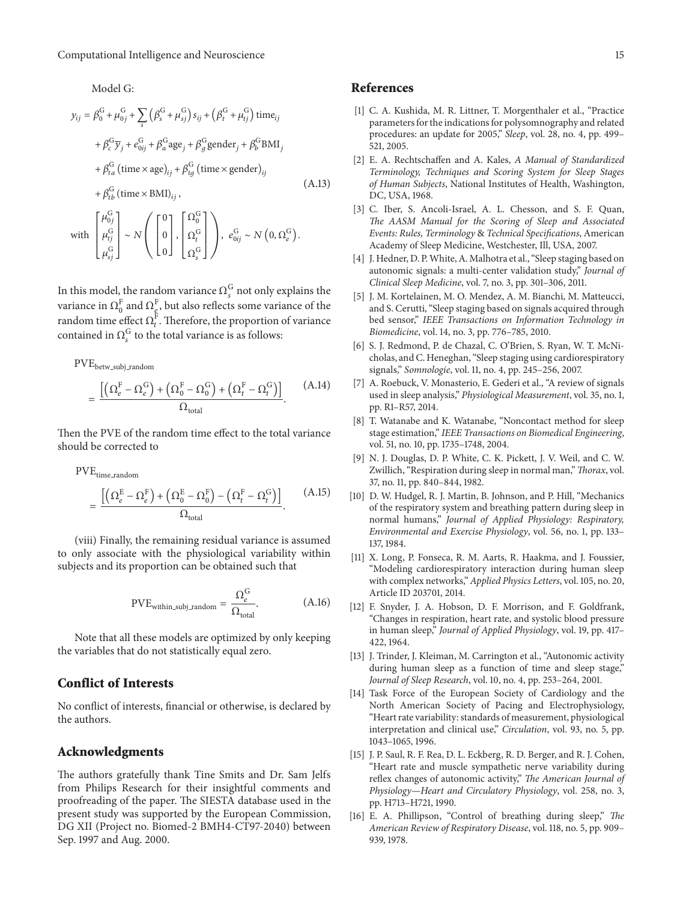Model G:

$$
y_{ij} = \beta_0^G + \mu_{0j}^G + \sum_s (\beta_s^G + \mu_{sj}^G) s_{ij} + (\beta_t^G + \mu_{ij}^G) \text{ time}_{ij}
$$
  
+  $\beta_c^G \overline{y}_j + e_{0ij}^G + \beta_a^G \text{age}_j + \beta_g^G \text{gender}_j + \beta_b^G \text{BMI}_j$   
+  $\beta_{ta}^G (\text{time} \times \text{age})_{ij} + \beta_{tg}^G (\text{time} \times \text{gender})_{ij}$   
+  $\beta_{tb}^G (\text{time} \times \text{BMI})_{ij}$ ,  
with 
$$
\begin{bmatrix} \mu_{0j}^G \\ \mu_{ij}^G \\ \mu_{sj}^G \end{bmatrix} \sim N \left( \begin{bmatrix} 0 \\ 0 \\ 0 \end{bmatrix}, \begin{bmatrix} \Omega_0^G \\ \Omega_s^G \\ \Omega_s^G \end{bmatrix} \right), e_{0ij}^G \sim N \left( 0, \Omega_e^G \right).
$$
 (A.13)

In this model, the random variance  $\Omega_s^{\text{G}}$  not only explains the variance in  $\Omega_0^{\rm F}$  and  $\Omega_{\rm g}^{\rm F}$ , but also reflects some variance of the random time effect  $\Omega_{t}^{\text{F}}$ . Therefore, the proportion of variance contained in  $\Omega_s^G$  to the total variance is as follows:

$$
PVE_{between-subj.random}
$$
  
= 
$$
\frac{\left[\left(\Omega_e^F - \Omega_e^G\right) + \left(\Omega_0^F - \Omega_0^G\right) + \left(\Omega_t^F - \Omega_t^G\right)\right]}{\Omega_{total}}.
$$
 (A.14)

Then the PVE of the random time effect to the total variance should be corrected to

PVE<sub>time.random</sub>  
= 
$$
\frac{\left[ \left( \Omega_e^{\rm E} - \Omega_e^{\rm F} \right) + \left( \Omega_0^{\rm E} - \Omega_0^{\rm F} \right) - \left( \Omega_t^{\rm F} - \Omega_t^{\rm G} \right) \right]}{\Omega_{\rm total}}.
$$
 (A.15)

(viii) Finally, the remaining residual variance is assumed to only associate with the physiological variability within subjects and its proportion can be obtained such that

$$
PVEwithin.subj.random = \frac{\Omega_e^G}{\Omega_{total}}.
$$
 (A.16)

Note that all these models are optimized by only keeping the variables that do not statistically equal zero.

#### **Conflict of Interests**

No conflict of interests, financial or otherwise, is declared by the authors.

#### **Acknowledgments**

The authors gratefully thank Tine Smits and Dr. Sam Jelfs from Philips Research for their insightful comments and proofreading of the paper. The SIESTA database used in the present study was supported by the European Commission, DG XII (Project no. Biomed-2 BMH4-CT97-2040) between Sep. 1997 and Aug. 2000.

#### **References**

- [1] C. A. Kushida, M. R. Littner, T. Morgenthaler et al., "Practice parameters for the indications for polysomnography and related procedures: an update for 2005," *Sleep*, vol. 28, no. 4, pp. 499– 521, 2005.
- [2] E. A. Rechtschaffen and A. Kales, *A Manual of Standardized Terminology, Techniques and Scoring System for Sleep Stages of Human Subjects*, National Institutes of Health, Washington, DC, USA, 1968.
- [3] C. Iber, S. Ancoli-Israel, A. L. Chesson, and S. F. Quan, *The AASM Manual for the Scoring of Sleep and Associated Events: Rules, Terminology* & *Technical Specifications*, American Academy of Sleep Medicine, Westchester, Ill, USA, 2007.
- [4] J. Hedner, D. P. White, A. Malhotra et al., "Sleep staging based on autonomic signals: a multi-center validation study," *Journal of Clinical Sleep Medicine*, vol. 7, no. 3, pp. 301–306, 2011.
- [5] J. M. Kortelainen, M. O. Mendez, A. M. Bianchi, M. Matteucci, and S. Cerutti, "Sleep staging based on signals acquired through bed sensor," *IEEE Transactions on Information Technology in Biomedicine*, vol. 14, no. 3, pp. 776–785, 2010.
- [6] S. J. Redmond, P. de Chazal, C. O'Brien, S. Ryan, W. T. McNicholas, and C. Heneghan, "Sleep staging using cardiorespiratory signals," *Somnologie*, vol. 11, no. 4, pp. 245–256, 2007.
- [7] A. Roebuck, V. Monasterio, E. Gederi et al., "A review of signals used in sleep analysis," *Physiological Measurement*, vol. 35, no. 1, pp. R1–R57, 2014.
- [8] T. Watanabe and K. Watanabe, "Noncontact method for sleep stage estimation," *IEEE Transactions on Biomedical Engineering*, vol. 51, no. 10, pp. 1735–1748, 2004.
- [9] N. J. Douglas, D. P. White, C. K. Pickett, J. V. Weil, and C. W. Zwillich, "Respiration during sleep in normal man,"*Thorax*, vol. 37, no. 11, pp. 840–844, 1982.
- [10] D. W. Hudgel, R. J. Martin, B. Johnson, and P. Hill, "Mechanics of the respiratory system and breathing pattern during sleep in normal humans," *Journal of Applied Physiology: Respiratory, Environmental and Exercise Physiology*, vol. 56, no. 1, pp. 133– 137, 1984.
- [11] X. Long, P. Fonseca, R. M. Aarts, R. Haakma, and J. Foussier, "Modeling cardiorespiratory interaction during human sleep with complex networks," *Applied Physics Letters*, vol. 105, no. 20, Article ID 203701, 2014.
- [12] F. Snyder, J. A. Hobson, D. F. Morrison, and F. Goldfrank, "Changes in respiration, heart rate, and systolic blood pressure in human sleep," *Journal of Applied Physiology*, vol. 19, pp. 417– 422, 1964.
- [13] J. Trinder, J. Kleiman, M. Carrington et al., "Autonomic activity during human sleep as a function of time and sleep stage," *Journal of Sleep Research*, vol. 10, no. 4, pp. 253–264, 2001.
- [14] Task Force of the European Society of Cardiology and the North American Society of Pacing and Electrophysiology, "Heart rate variability: standards of measurement, physiological interpretation and clinical use," *Circulation*, vol. 93, no. 5, pp. 1043–1065, 1996.
- [15] J. P. Saul, R. F. Rea, D. L. Eckberg, R. D. Berger, and R. J. Cohen, "Heart rate and muscle sympathetic nerve variability during reflex changes of autonomic activity," *The American Journal of Physiology—Heart and Circulatory Physiology*, vol. 258, no. 3, pp. H713–H721, 1990.
- [16] E. A. Phillipson, "Control of breathing during sleep," *The American Review of Respiratory Disease*, vol. 118, no. 5, pp. 909– 939, 1978.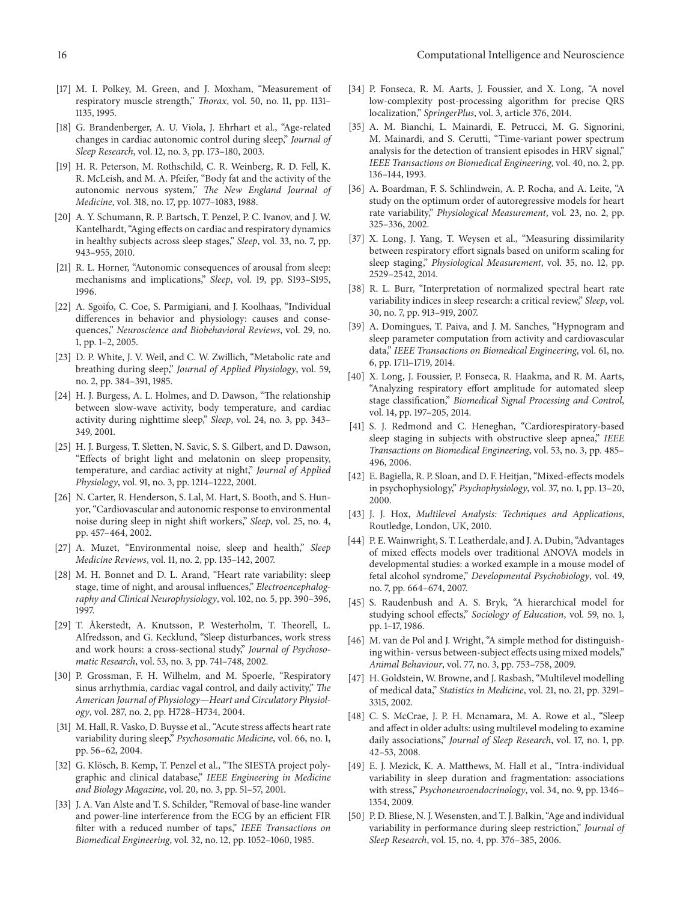- [17] M. I. Polkey, M. Green, and J. Moxham, "Measurement of respiratory muscle strength," *Thorax*, vol. 50, no. 11, pp. 1131– 1135, 1995.
- [18] G. Brandenberger, A. U. Viola, J. Ehrhart et al., "Age-related changes in cardiac autonomic control during sleep," *Journal of Sleep Research*, vol. 12, no. 3, pp. 173–180, 2003.
- [19] H. R. Peterson, M. Rothschild, C. R. Weinberg, R. D. Fell, K. R. McLeish, and M. A. Pfeifer, "Body fat and the activity of the autonomic nervous system," *The New England Journal of Medicine*, vol. 318, no. 17, pp. 1077–1083, 1988.
- [20] A. Y. Schumann, R. P. Bartsch, T. Penzel, P. C. Ivanov, and J. W. Kantelhardt, "Aging effects on cardiac and respiratory dynamics in healthy subjects across sleep stages," *Sleep*, vol. 33, no. 7, pp. 943–955, 2010.
- [21] R. L. Horner, "Autonomic consequences of arousal from sleep: mechanisms and implications," *Sleep*, vol. 19, pp. S193–S195, 1996.
- [22] A. Sgoifo, C. Coe, S. Parmigiani, and J. Koolhaas, "Individual differences in behavior and physiology: causes and consequences," *Neuroscience and Biobehavioral Reviews*, vol. 29, no. 1, pp. 1–2, 2005.
- [23] D. P. White, J. V. Weil, and C. W. Zwillich, "Metabolic rate and breathing during sleep," *Journal of Applied Physiology*, vol. 59, no. 2, pp. 384–391, 1985.
- [24] H. J. Burgess, A. L. Holmes, and D. Dawson, "The relationship between slow-wave activity, body temperature, and cardiac activity during nighttime sleep," *Sleep*, vol. 24, no. 3, pp. 343– 349, 2001.
- [25] H. J. Burgess, T. Sletten, N. Savic, S. S. Gilbert, and D. Dawson, "Effects of bright light and melatonin on sleep propensity, temperature, and cardiac activity at night," *Journal of Applied Physiology*, vol. 91, no. 3, pp. 1214–1222, 2001.
- [26] N. Carter, R. Henderson, S. Lal, M. Hart, S. Booth, and S. Hunyor, "Cardiovascular and autonomic response to environmental noise during sleep in night shift workers," *Sleep*, vol. 25, no. 4, pp. 457–464, 2002.
- [27] A. Muzet, "Environmental noise, sleep and health," *Sleep Medicine Reviews*, vol. 11, no. 2, pp. 135–142, 2007.
- [28] M. H. Bonnet and D. L. Arand, "Heart rate variability: sleep stage, time of night, and arousal influences," *Electroencephalography and Clinical Neurophysiology*, vol. 102, no. 5, pp. 390–396, 1997.
- [29] T. Åkerstedt, A. Knutsson, P. Westerholm, T. Theorell, L. Alfredsson, and G. Kecklund, "Sleep disturbances, work stress and work hours: a cross-sectional study," *Journal of Psychosomatic Research*, vol. 53, no. 3, pp. 741–748, 2002.
- [30] P. Grossman, F. H. Wilhelm, and M. Spoerle, "Respiratory sinus arrhythmia, cardiac vagal control, and daily activity," *The American Journal of Physiology—Heart and Circulatory Physiology*, vol. 287, no. 2, pp. H728–H734, 2004.
- [31] M. Hall, R. Vasko, D. Buysse et al., "Acute stress affects heart rate variability during sleep," *Psychosomatic Medicine*, vol. 66, no. 1, pp. 56–62, 2004.
- [32] G. Klösch, B. Kemp, T. Penzel et al., "The SIESTA project polygraphic and clinical database," *IEEE Engineering in Medicine and Biology Magazine*, vol. 20, no. 3, pp. 51–57, 2001.
- [33] J. A. Van Alste and T. S. Schilder, "Removal of base-line wander and power-line interference from the ECG by an efficient FIR filter with a reduced number of taps," *IEEE Transactions on Biomedical Engineering*, vol. 32, no. 12, pp. 1052–1060, 1985.
- [34] P. Fonseca, R. M. Aarts, J. Foussier, and X. Long, "A novel low-complexity post-processing algorithm for precise QRS localization," *SpringerPlus*, vol. 3, article 376, 2014.
- [35] A. M. Bianchi, L. Mainardi, E. Petrucci, M. G. Signorini, M. Mainardi, and S. Cerutti, "Time-variant power spectrum analysis for the detection of transient episodes in HRV signal," *IEEE Transactions on Biomedical Engineering*, vol. 40, no. 2, pp. 136–144, 1993.
- [36] A. Boardman, F. S. Schlindwein, A. P. Rocha, and A. Leite, "A study on the optimum order of autoregressive models for heart rate variability," *Physiological Measurement*, vol. 23, no. 2, pp. 325–336, 2002.
- [37] X. Long, J. Yang, T. Weysen et al., "Measuring dissimilarity between respiratory effort signals based on uniform scaling for sleep staging," *Physiological Measurement*, vol. 35, no. 12, pp. 2529–2542, 2014.
- [38] R. L. Burr, "Interpretation of normalized spectral heart rate variability indices in sleep research: a critical review," *Sleep*, vol. 30, no. 7, pp. 913–919, 2007.
- [39] A. Domingues, T. Paiva, and J. M. Sanches, "Hypnogram and sleep parameter computation from activity and cardiovascular data," *IEEE Transactions on Biomedical Engineering*, vol. 61, no. 6, pp. 1711–1719, 2014.
- [40] X. Long, J. Foussier, P. Fonseca, R. Haakma, and R. M. Aarts, "Analyzing respiratory effort amplitude for automated sleep stage classification," *Biomedical Signal Processing and Control*, vol. 14, pp. 197–205, 2014.
- [41] S. J. Redmond and C. Heneghan, "Cardiorespiratory-based sleep staging in subjects with obstructive sleep apnea," *IEEE Transactions on Biomedical Engineering*, vol. 53, no. 3, pp. 485– 496, 2006.
- [42] E. Bagiella, R. P. Sloan, and D. F. Heitjan, "Mixed-effects models in psychophysiology," *Psychophysiology*, vol. 37, no. 1, pp. 13–20, 2000.
- [43] J. J. Hox, *Multilevel Analysis: Techniques and Applications*, Routledge, London, UK, 2010.
- [44] P. E. Wainwright, S. T. Leatherdale, and J. A. Dubin, "Advantages" of mixed effects models over traditional ANOVA models in developmental studies: a worked example in a mouse model of fetal alcohol syndrome," *Developmental Psychobiology*, vol. 49, no. 7, pp. 664–674, 2007.
- [45] S. Raudenbush and A. S. Bryk, "A hierarchical model for studying school effects," *Sociology of Education*, vol. 59, no. 1, pp. 1–17, 1986.
- [46] M. van de Pol and J. Wright, "A simple method for distinguishing within- versus between-subject effects using mixed models," *Animal Behaviour*, vol. 77, no. 3, pp. 753–758, 2009.
- [47] H. Goldstein, W. Browne, and J. Rasbash, "Multilevel modelling of medical data," *Statistics in Medicine*, vol. 21, no. 21, pp. 3291– 3315, 2002.
- [48] C. S. McCrae, J. P. H. Mcnamara, M. A. Rowe et al., "Sleep and affect in older adults: using multilevel modeling to examine daily associations," *Journal of Sleep Research*, vol. 17, no. 1, pp. 42–53, 2008.
- [49] E. J. Mezick, K. A. Matthews, M. Hall et al., "Intra-individual variability in sleep duration and fragmentation: associations with stress," *Psychoneuroendocrinology*, vol. 34, no. 9, pp. 1346– 1354, 2009.
- [50] P. D. Bliese, N. J. Wesensten, and T. J. Balkin, "Age and individual variability in performance during sleep restriction," *Journal of Sleep Research*, vol. 15, no. 4, pp. 376–385, 2006.